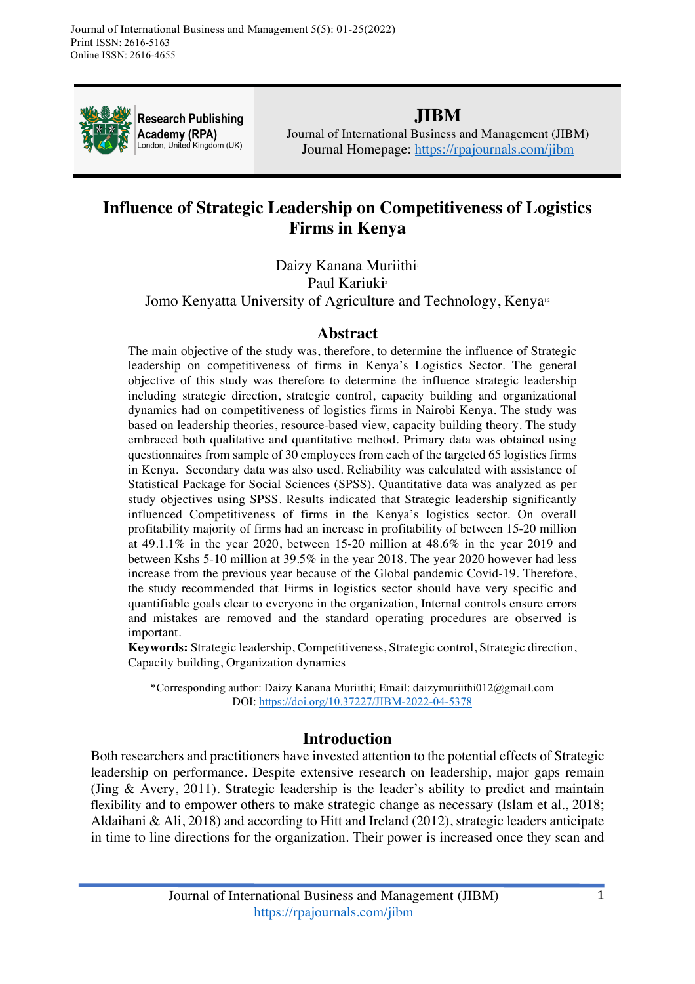

**Research Publishing** Academy (RPA) London, United Kingdom (UK)

# **JIBM**

Journal of International Business and Management (JIBM) Journal Homepage: https://rpajournals.com/jibm

# **Influence of Strategic Leadership on Competitiveness of Logistics Firms in Kenya**

Daizy Kanana Muriithi<sup>1</sup> Paul Kariuki<sup>2</sup> Jomo Kenyatta University of Agriculture and Technology, Kenya<sup>12</sup>

### **Abstract**

The main objective of the study was, therefore, to determine the influence of Strategic leadership on competitiveness of firms in Kenya's Logistics Sector. The general objective of this study was therefore to determine the influence strategic leadership including strategic direction, strategic control, capacity building and organizational dynamics had on competitiveness of logistics firms in Nairobi Kenya. The study was based on leadership theories, resource-based view, capacity building theory. The study embraced both qualitative and quantitative method. Primary data was obtained using questionnaires from sample of 30 employees from each of the targeted 65 logistics firms in Kenya. Secondary data was also used. Reliability was calculated with assistance of Statistical Package for Social Sciences (SPSS). Quantitative data was analyzed as per study objectives using SPSS. Results indicated that Strategic leadership significantly influenced Competitiveness of firms in the Kenya's logistics sector. On overall profitability majority of firms had an increase in profitability of between 15-20 million at  $49.1.1\%$  in the year 2020, between 15-20 million at  $48.6\%$  in the year 2019 and between Kshs 5-10 million at 39.5% in the year 2018. The year 2020 however had less increase from the previous year because of the Global pandemic Covid-19. Therefore, the study recommended that Firms in logistics sector should have very specific and quantifiable goals clear to everyone in the organization, Internal controls ensure errors and mistakes are removed and the standard operating procedures are observed is important.

**Keywords:** Strategic leadership, Competitiveness, Strategic control, Strategic direction, Capacity building, Organization dynamics

\*Corresponding author: Daizy Kanana Muriithi; Email: daizymuriithi012@gmail.com DOI: https://doi.org/10.37227/JIBM-2022-04-5378

# **Introduction**

Both researchers and practitioners have invested attention to the potential effects of Strategic leadership on performance. Despite extensive research on leadership, major gaps remain (Jing & Avery, 2011). Strategic leadership is the leader's ability to predict and maintain flexibility and to empower others to make strategic change as necessary (Islam et al., 2018; Aldaihani & Ali, 2018) and according to Hitt and Ireland (2012), strategic leaders anticipate in time to line directions for the organization. Their power is increased once they scan and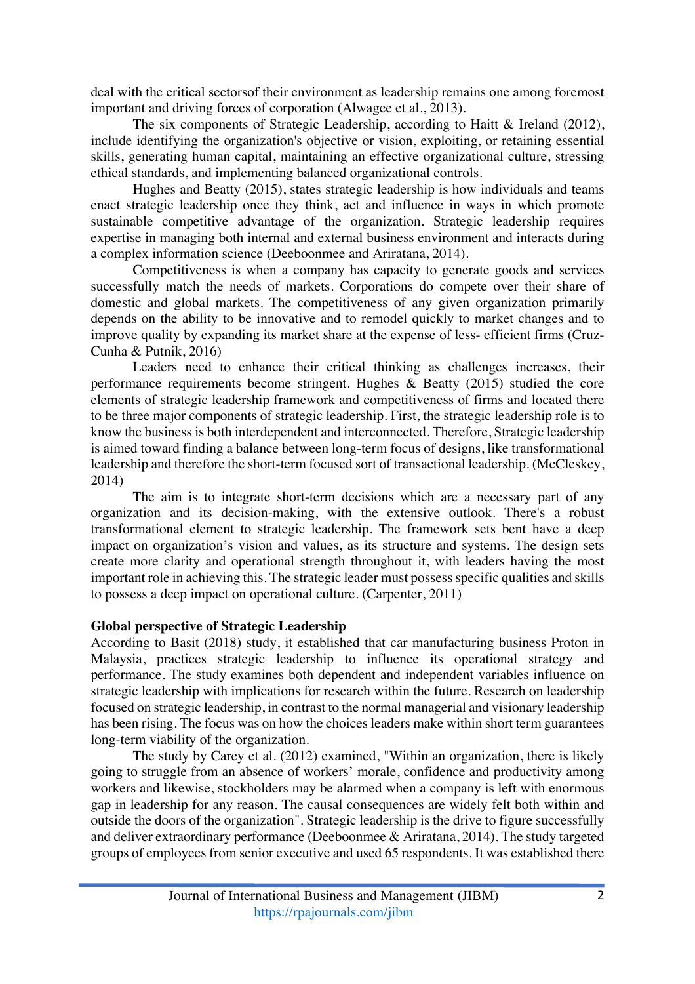deal with the critical sectorsof their environment as leadership remains one among foremost important and driving forces of corporation (Alwagee et al., 2013).

The six components of Strategic Leadership, according to Haitt & Ireland (2012), include identifying the organization's objective or vision, exploiting, or retaining essential skills, generating human capital, maintaining an effective organizational culture, stressing ethical standards, and implementing balanced organizational controls.

Hughes and Beatty (2015), states strategic leadership is how individuals and teams enact strategic leadership once they think, act and influence in ways in which promote sustainable competitive advantage of the organization. Strategic leadership requires expertise in managing both internal and external business environment and interacts during a complex information science (Deeboonmee and Ariratana, 2014).

Competitiveness is when a company has capacity to generate goods and services successfully match the needs of markets. Corporations do compete over their share of domestic and global markets. The competitiveness of any given organization primarily depends on the ability to be innovative and to remodel quickly to market changes and to improve quality by expanding its market share at the expense of less- efficient firms (Cruz-Cunha & Putnik, 2016)

Leaders need to enhance their critical thinking as challenges increases, their performance requirements become stringent. Hughes & Beatty (2015) studied the core elements of strategic leadership framework and competitiveness of firms and located there to be three major components of strategic leadership. First, the strategic leadership role is to know the business is both interdependent and interconnected. Therefore, Strategic leadership is aimed toward finding a balance between long-term focus of designs, like transformational leadership and therefore the short-term focused sort of transactional leadership. (McCleskey, 2014)

The aim is to integrate short-term decisions which are a necessary part of any organization and its decision-making, with the extensive outlook. There's a robust transformational element to strategic leadership. The framework sets bent have a deep impact on organization's vision and values, as its structure and systems. The design sets create more clarity and operational strength throughout it, with leaders having the most important role in achieving this. The strategic leader must possess specific qualities and skills to possess a deep impact on operational culture. (Carpenter, 2011)

### **Global perspective of Strategic Leadership**

According to Basit (2018) study, it established that car manufacturing business Proton in Malaysia, practices strategic leadership to influence its operational strategy and performance. The study examines both dependent and independent variables influence on strategic leadership with implications for research within the future. Research on leadership focused on strategic leadership, in contrast to the normal managerial and visionary leadership has been rising. The focus was on how the choices leaders make within short term guarantees long-term viability of the organization.

The study by Carey et al. (2012) examined, "Within an organization, there is likely going to struggle from an absence of workers' morale, confidence and productivity among workers and likewise, stockholders may be alarmed when a company is left with enormous gap in leadership for any reason. The causal consequences are widely felt both within and outside the doors of the organization". Strategic leadership is the drive to figure successfully and deliver extraordinary performance (Deeboonmee & Ariratana, 2014). The study targeted groups of employees from senior executive and used 65 respondents. It was established there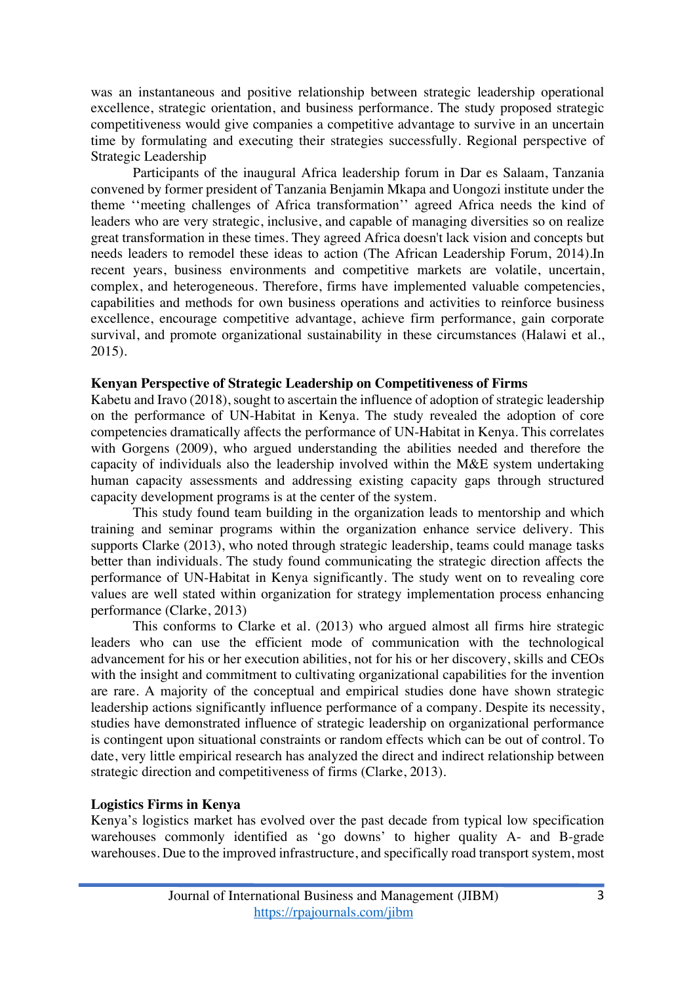was an instantaneous and positive relationship between strategic leadership operational excellence, strategic orientation, and business performance. The study proposed strategic competitiveness would give companies a competitive advantage to survive in an uncertain time by formulating and executing their strategies successfully. Regional perspective of Strategic Leadership

Participants of the inaugural Africa leadership forum in Dar es Salaam, Tanzania convened by former president of Tanzania Benjamin Mkapa and Uongozi institute under the theme ''meeting challenges of Africa transformation'' agreed Africa needs the kind of leaders who are very strategic, inclusive, and capable of managing diversities so on realize great transformation in these times. They agreed Africa doesn't lack vision and concepts but needs leaders to remodel these ideas to action (The African Leadership Forum, 2014).In recent years, business environments and competitive markets are volatile, uncertain, complex, and heterogeneous. Therefore, firms have implemented valuable competencies, capabilities and methods for own business operations and activities to reinforce business excellence, encourage competitive advantage, achieve firm performance, gain corporate survival, and promote organizational sustainability in these circumstances (Halawi et al., 2015).

#### **Kenyan Perspective of Strategic Leadership on Competitiveness of Firms**

Kabetu and Iravo (2018), sought to ascertain the influence of adoption of strategic leadership on the performance of UN-Habitat in Kenya. The study revealed the adoption of core competencies dramatically affects the performance of UN-Habitat in Kenya. This correlates with Gorgens (2009), who argued understanding the abilities needed and therefore the capacity of individuals also the leadership involved within the M&E system undertaking human capacity assessments and addressing existing capacity gaps through structured capacity development programs is at the center of the system.

This study found team building in the organization leads to mentorship and which training and seminar programs within the organization enhance service delivery. This supports Clarke (2013), who noted through strategic leadership, teams could manage tasks better than individuals. The study found communicating the strategic direction affects the performance of UN-Habitat in Kenya significantly. The study went on to revealing core values are well stated within organization for strategy implementation process enhancing performance (Clarke, 2013)

This conforms to Clarke et al. (2013) who argued almost all firms hire strategic leaders who can use the efficient mode of communication with the technological advancement for his or her execution abilities, not for his or her discovery, skills and CEOs with the insight and commitment to cultivating organizational capabilities for the invention are rare. A majority of the conceptual and empirical studies done have shown strategic leadership actions significantly influence performance of a company. Despite its necessity, studies have demonstrated influence of strategic leadership on organizational performance is contingent upon situational constraints or random effects which can be out of control. To date, very little empirical research has analyzed the direct and indirect relationship between strategic direction and competitiveness of firms (Clarke, 2013).

### **Logistics Firms in Kenya**

Kenya's logistics market has evolved over the past decade from typical low specification warehouses commonly identified as 'go downs' to higher quality A- and B-grade warehouses. Due to the improved infrastructure, and specifically road transport system, most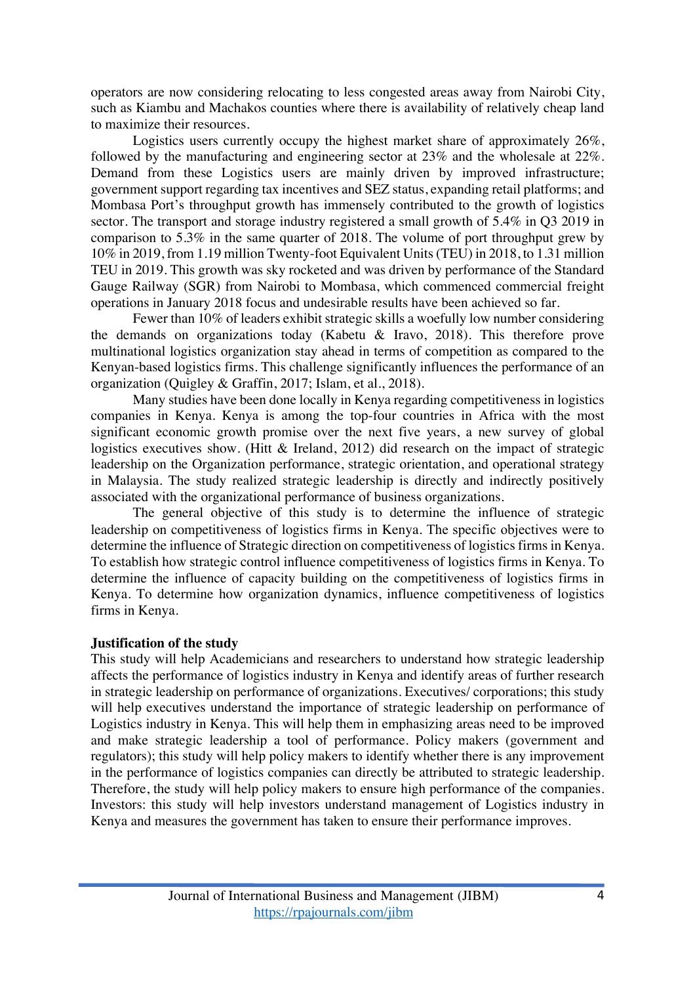operators are now considering relocating to less congested areas away from Nairobi City, such as Kiambu and Machakos counties where there is availability of relatively cheap land to maximize their resources.

Logistics users currently occupy the highest market share of approximately 26%, followed by the manufacturing and engineering sector at 23% and the wholesale at 22%. Demand from these Logistics users are mainly driven by improved infrastructure; government support regarding tax incentives and SEZ status, expanding retail platforms; and Mombasa Port's throughput growth has immensely contributed to the growth of logistics sector. The transport and storage industry registered a small growth of 5.4% in Q3 2019 in comparison to 5.3% in the same quarter of 2018. The volume of port throughput grew by 10% in 2019, from 1.19 million Twenty-foot Equivalent Units (TEU) in 2018, to 1.31 million TEU in 2019. This growth was sky rocketed and was driven by performance of the Standard Gauge Railway (SGR) from Nairobi to Mombasa, which commenced commercial freight operations in January 2018 focus and undesirable results have been achieved so far.

Fewer than 10% of leaders exhibit strategic skills a woefully low number considering the demands on organizations today (Kabetu & Iravo, 2018). This therefore prove multinational logistics organization stay ahead in terms of competition as compared to the Kenyan-based logistics firms. This challenge significantly influences the performance of an organization (Quigley & Graffin, 2017; Islam, et al., 2018).

Many studies have been done locally in Kenya regarding competitiveness in logistics companies in Kenya. Kenya is among the top-four countries in Africa with the most significant economic growth promise over the next five years, a new survey of global logistics executives show. (Hitt & Ireland, 2012) did research on the impact of strategic leadership on the Organization performance, strategic orientation, and operational strategy in Malaysia. The study realized strategic leadership is directly and indirectly positively associated with the organizational performance of business organizations.

The general objective of this study is to determine the influence of strategic leadership on competitiveness of logistics firms in Kenya. The specific objectives were to determine the influence of Strategic direction on competitiveness of logistics firms in Kenya. To establish how strategic control influence competitiveness of logistics firms in Kenya. To determine the influence of capacity building on the competitiveness of logistics firms in Kenya. To determine how organization dynamics, influence competitiveness of logistics firms in Kenya.

#### **Justification of the study**

This study will help Academicians and researchers to understand how strategic leadership affects the performance of logistics industry in Kenya and identify areas of further research in strategic leadership on performance of organizations. Executives/ corporations; this study will help executives understand the importance of strategic leadership on performance of Logistics industry in Kenya. This will help them in emphasizing areas need to be improved and make strategic leadership a tool of performance. Policy makers (government and regulators); this study will help policy makers to identify whether there is any improvement in the performance of logistics companies can directly be attributed to strategic leadership. Therefore, the study will help policy makers to ensure high performance of the companies. Investors: this study will help investors understand management of Logistics industry in Kenya and measures the government has taken to ensure their performance improves.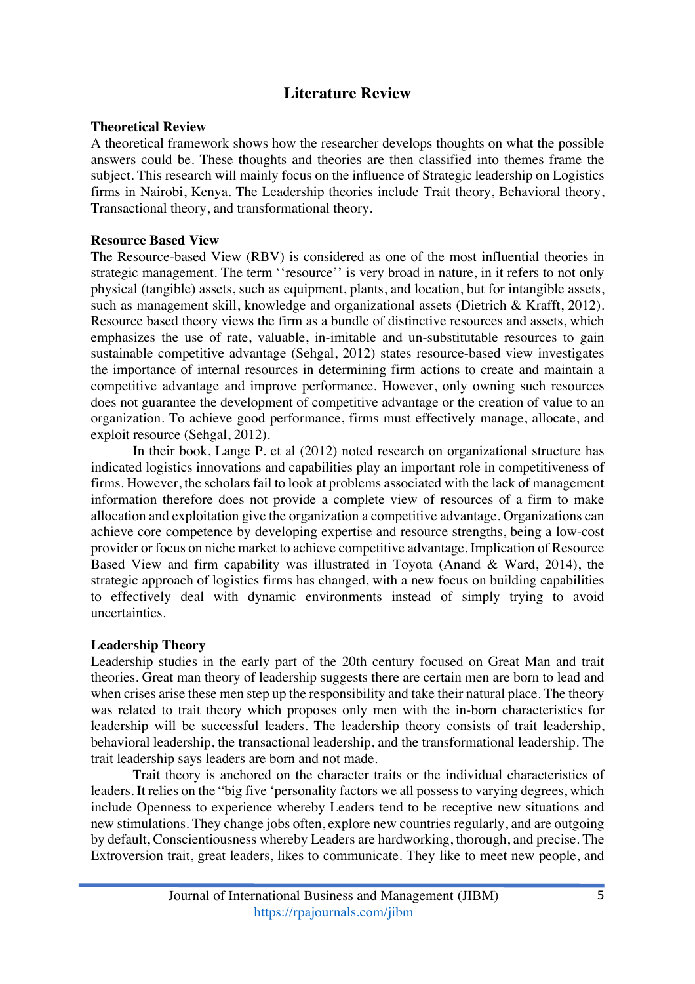# **Literature Review**

#### **Theoretical Review**

A theoretical framework shows how the researcher develops thoughts on what the possible answers could be. These thoughts and theories are then classified into themes frame the subject. This research will mainly focus on the influence of Strategic leadership on Logistics firms in Nairobi, Kenya. The Leadership theories include Trait theory, Behavioral theory, Transactional theory, and transformational theory.

#### **Resource Based View**

The Resource-based View (RBV) is considered as one of the most influential theories in strategic management. The term "resource" is very broad in nature, in it refers to not only physical (tangible) assets, such as equipment, plants, and location, but for intangible assets, such as management skill, knowledge and organizational assets (Dietrich & Krafft, 2012). Resource based theory views the firm as a bundle of distinctive resources and assets, which emphasizes the use of rate, valuable, in-imitable and un-substitutable resources to gain sustainable competitive advantage (Sehgal, 2012) states resource-based view investigates the importance of internal resources in determining firm actions to create and maintain a competitive advantage and improve performance. However, only owning such resources does not guarantee the development of competitive advantage or the creation of value to an organization. To achieve good performance, firms must effectively manage, allocate, and exploit resource (Sehgal, 2012).

In their book, Lange P. et al (2012) noted research on organizational structure has indicated logistics innovations and capabilities play an important role in competitiveness of firms. However, the scholars fail to look at problems associated with the lack of management information therefore does not provide a complete view of resources of a firm to make allocation and exploitation give the organization a competitive advantage. Organizations can achieve core competence by developing expertise and resource strengths, being a low-cost provider or focus on niche market to achieve competitive advantage. Implication of Resource Based View and firm capability was illustrated in Toyota (Anand & Ward, 2014), the strategic approach of logistics firms has changed, with a new focus on building capabilities to effectively deal with dynamic environments instead of simply trying to avoid uncertainties.

#### **Leadership Theory**

Leadership studies in the early part of the 20th century focused on Great Man and trait theories. Great man theory of leadership suggests there are certain men are born to lead and when crises arise these men step up the responsibility and take their natural place. The theory was related to trait theory which proposes only men with the in-born characteristics for leadership will be successful leaders. The leadership theory consists of trait leadership, behavioral leadership, the transactional leadership, and the transformational leadership. The trait leadership says leaders are born and not made.

Trait theory is anchored on the character traits or the individual characteristics of leaders. It relies on the "big five 'personality factors we all possess to varying degrees, which include Openness to experience whereby Leaders tend to be receptive new situations and new stimulations. They change jobs often, explore new countries regularly, and are outgoing by default, Conscientiousness whereby Leaders are hardworking, thorough, and precise. The Extroversion trait, great leaders, likes to communicate. They like to meet new people, and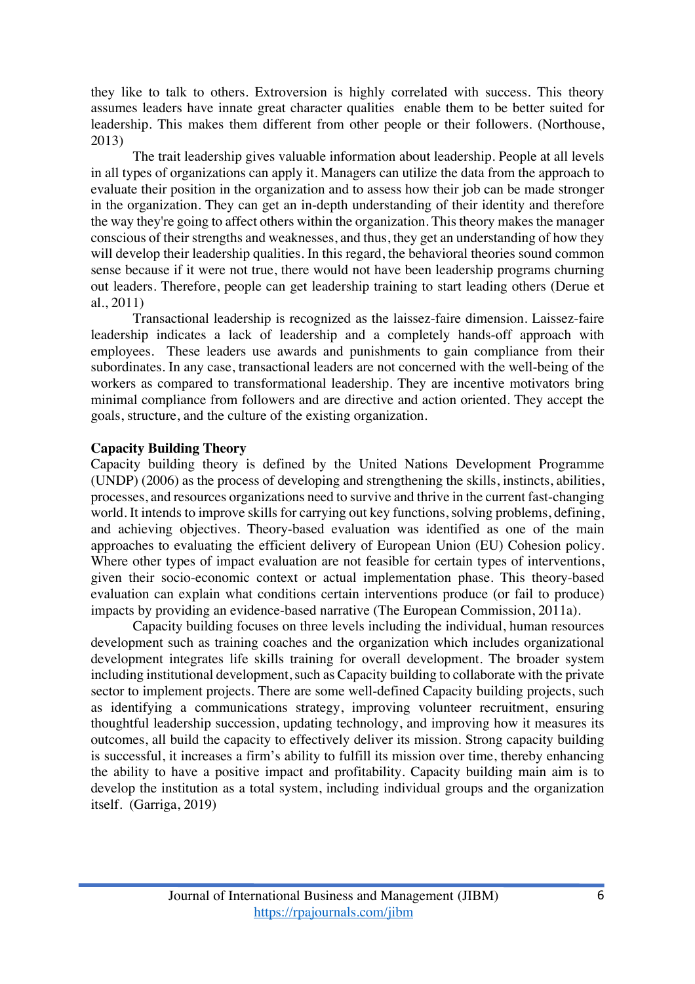they like to talk to others. Extroversion is highly correlated with success. This theory assumes leaders have innate great character qualities enable them to be better suited for leadership. This makes them different from other people or their followers. (Northouse, 2013)

The trait leadership gives valuable information about leadership. People at all levels in all types of organizations can apply it. Managers can utilize the data from the approach to evaluate their position in the organization and to assess how their job can be made stronger in the organization. They can get an in-depth understanding of their identity and therefore the way they're going to affect others within the organization. This theory makes the manager conscious of their strengths and weaknesses, and thus, they get an understanding of how they will develop their leadership qualities. In this regard, the behavioral theories sound common sense because if it were not true, there would not have been leadership programs churning out leaders. Therefore, people can get leadership training to start leading others (Derue et al., 2011)

Transactional leadership is recognized as the laissez-faire dimension. Laissez-faire leadership indicates a lack of leadership and a completely hands-off approach with employees. These leaders use awards and punishments to gain compliance from their subordinates. In any case, transactional leaders are not concerned with the well-being of the workers as compared to transformational leadership. They are incentive motivators bring minimal compliance from followers and are directive and action oriented. They accept the goals, structure, and the culture of the existing organization.

#### **Capacity Building Theory**

Capacity building theory is defined by the United Nations Development Programme (UNDP) (2006) as the process of developing and strengthening the skills, instincts, abilities, processes, and resources organizations need to survive and thrive in the current fast-changing world. It intends to improve skills for carrying out key functions, solving problems, defining, and achieving objectives. Theory-based evaluation was identified as one of the main approaches to evaluating the efficient delivery of European Union (EU) Cohesion policy. Where other types of impact evaluation are not feasible for certain types of interventions, given their socio-economic context or actual implementation phase. This theory-based evaluation can explain what conditions certain interventions produce (or fail to produce) impacts by providing an evidence-based narrative (The European Commission, 2011a).

Capacity building focuses on three levels including the individual, human resources development such as training coaches and the organization which includes organizational development integrates life skills training for overall development. The broader system including institutional development, such as Capacity building to collaborate with the private sector to implement projects. There are some well-defined Capacity building projects, such as identifying a communications strategy, improving volunteer recruitment, ensuring thoughtful leadership succession, updating technology, and improving how it measures its outcomes, all build the capacity to effectively deliver its mission. Strong capacity building is successful, it increases a firm's ability to fulfill its mission over time, thereby enhancing the ability to have a positive impact and profitability. Capacity building main aim is to develop the institution as a total system, including individual groups and the organization itself. (Garriga, 2019)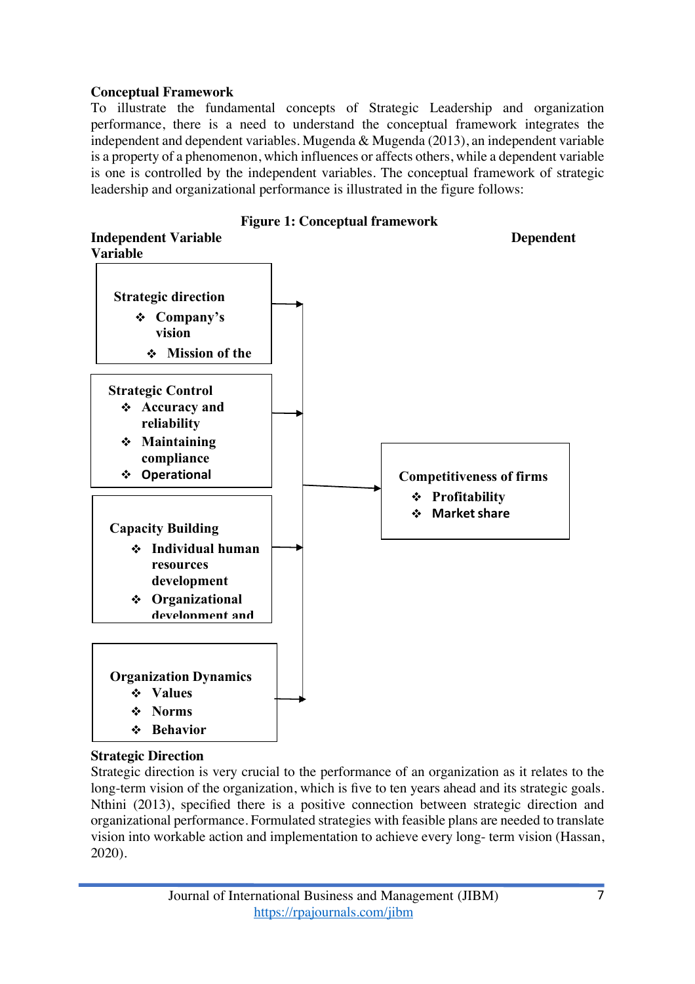### **Conceptual Framework**

To illustrate the fundamental concepts of Strategic Leadership and organization performance, there is a need to understand the conceptual framework integrates the independent and dependent variables. Mugenda & Mugenda (2013), an independent variable is a property of a phenomenon, which influences or affects others, while a dependent variable is one is controlled by the independent variables. The conceptual framework of strategic leadership and organizational performance is illustrated in the figure follows:



### **Strategic Direction**

Strategic direction is very crucial to the performance of an organization as it relates to the long-term vision of the organization, which is five to ten years ahead and its strategic goals. Nthini (2013), specified there is a positive connection between strategic direction and organizational performance. Formulated strategies with feasible plans are needed to translate vision into workable action and implementation to achieve every long- term vision (Hassan, 2020).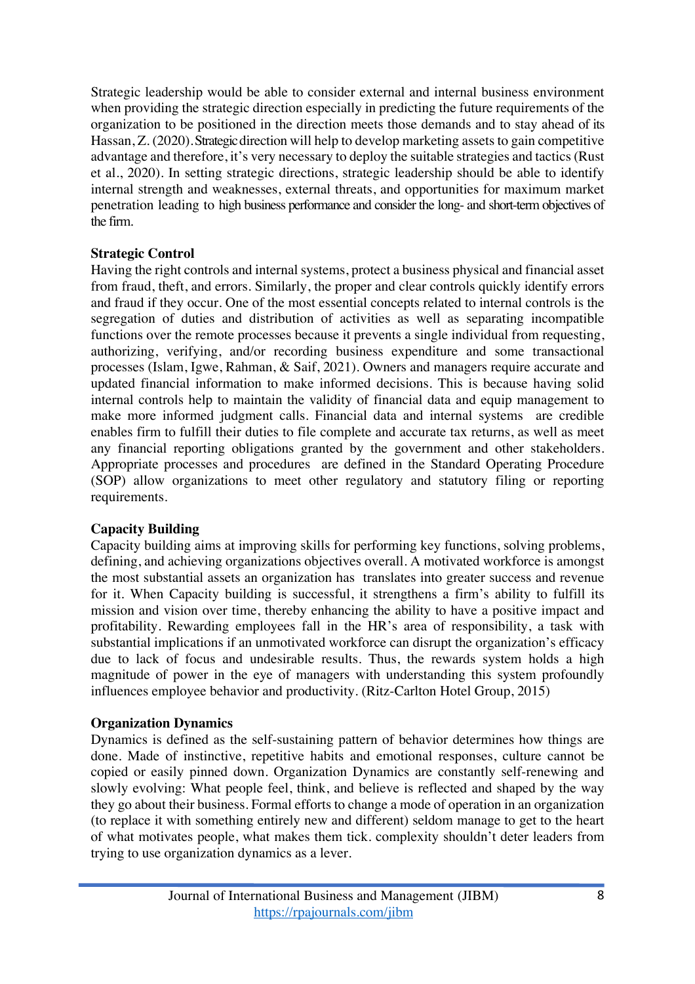Strategic leadership would be able to consider external and internal business environment when providing the strategic direction especially in predicting the future requirements of the organization to be positioned in the direction meets those demands and to stay ahead of its Hassan, Z. (2020). Strategic direction will help to develop marketing assets to gain competitive advantage and therefore, it's very necessary to deploy the suitable strategies and tactics (Rust et al., 2020). In setting strategic directions, strategic leadership should be able to identify internal strength and weaknesses, external threats, and opportunities for maximum market penetration leading to high business performance and consider the long- and short-term objectives of the firm.

### **Strategic Control**

Having the right controls and internal systems, protect a business physical and financial asset from fraud, theft, and errors. Similarly, the proper and clear controls quickly identify errors and fraud if they occur. One of the most essential concepts related to internal controls is the segregation of duties and distribution of activities as well as separating incompatible functions over the remote processes because it prevents a single individual from requesting, authorizing, verifying, and/or recording business expenditure and some transactional processes (Islam, Igwe, Rahman, & Saif, 2021). Owners and managers require accurate and updated financial information to make informed decisions. This is because having solid internal controls help to maintain the validity of financial data and equip management to make more informed judgment calls. Financial data and internal systems are credible enables firm to fulfill their duties to file complete and accurate tax returns, as well as meet any financial reporting obligations granted by the government and other stakeholders. Appropriate processes and procedures are defined in the Standard Operating Procedure (SOP) allow organizations to meet other regulatory and statutory filing or reporting requirements.

### **Capacity Building**

Capacity building aims at improving skills for performing key functions, solving problems, defining, and achieving organizations objectives overall. A motivated workforce is amongst the most substantial assets an organization has translates into greater success and revenue for it. When Capacity building is successful, it strengthens a firm's ability to fulfill its mission and vision over time, thereby enhancing the ability to have a positive impact and profitability. Rewarding employees fall in the HR's area of responsibility, a task with substantial implications if an unmotivated workforce can disrupt the organization's efficacy due to lack of focus and undesirable results. Thus, the rewards system holds a high magnitude of power in the eye of managers with understanding this system profoundly influences employee behavior and productivity. (Ritz-Carlton Hotel Group, 2015)

### **Organization Dynamics**

Dynamics is defined as the self-sustaining pattern of behavior determines how things are done. Made of instinctive, repetitive habits and emotional responses, culture cannot be copied or easily pinned down. Organization Dynamics are constantly self-renewing and slowly evolving: What people feel, think, and believe is reflected and shaped by the way they go about their business. Formal efforts to change a mode of operation in an organization (to replace it with something entirely new and different) seldom manage to get to the heart of what motivates people, what makes them tick. complexity shouldn't deter leaders from trying to use organization dynamics as a lever.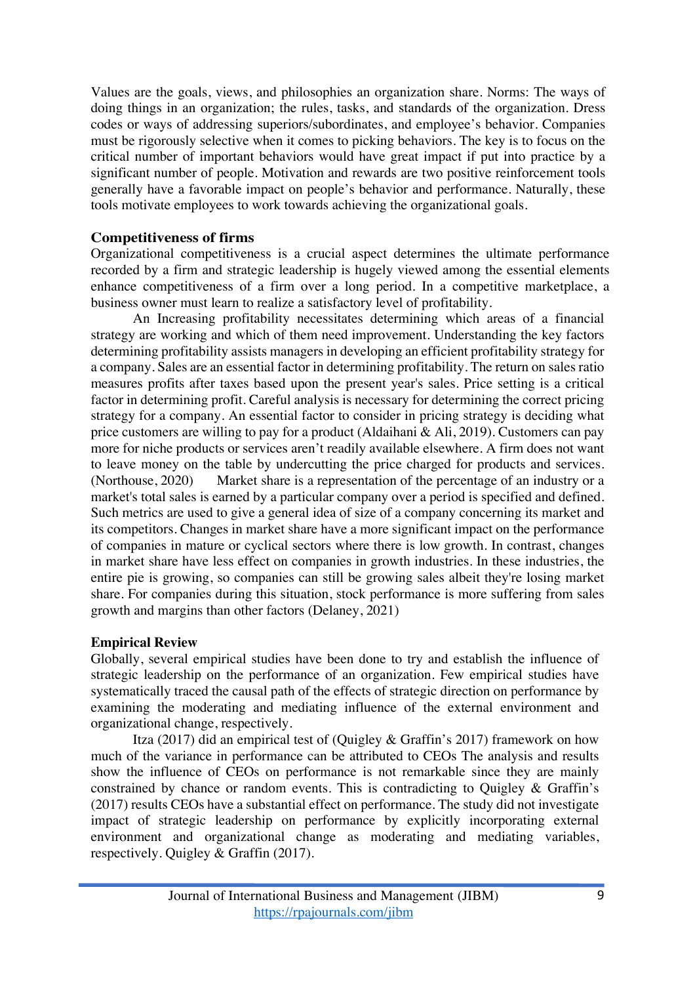Values are the goals, views, and philosophies an organization share. Norms: The ways of doing things in an organization; the rules, tasks, and standards of the organization. Dress codes or ways of addressing superiors/subordinates, and employee's behavior. Companies must be rigorously selective when it comes to picking behaviors. The key is to focus on the critical number of important behaviors would have great impact if put into practice by a significant number of people. Motivation and rewards are two positive reinforcement tools generally have a favorable impact on people's behavior and performance. Naturally, these tools motivate employees to work towards achieving the organizational goals.

### **Competitiveness of firms**

Organizational competitiveness is a crucial aspect determines the ultimate performance recorded by a firm and strategic leadership is hugely viewed among the essential elements enhance competitiveness of a firm over a long period. In a competitive marketplace, a business owner must learn to realize a satisfactory level of profitability.

An Increasing profitability necessitates determining which areas of a financial strategy are working and which of them need improvement. Understanding the key factors determining profitability assists managers in developing an efficient profitability strategy for a company. Sales are an essential factor in determining profitability. The return on sales ratio measures profits after taxes based upon the present year's sales. Price setting is a critical factor in determining profit. Careful analysis is necessary for determining the correct pricing strategy for a company. An essential factor to consider in pricing strategy is deciding what price customers are willing to pay for a product (Aldaihani & Ali, 2019). Customers can pay more for niche products or services aren't readily available elsewhere. A firm does not want to leave money on the table by undercutting the price charged for products and services. (Northouse, 2020) Market share is a representation of the percentage of an industry or a market's total sales is earned by a particular company over a period is specified and defined. Such metrics are used to give a general idea of size of a company concerning its market and its competitors. Changes in market share have a more significant impact on the performance of companies in mature or cyclical sectors where there is low growth. In contrast, changes in market share have less effect on companies in growth industries. In these industries, the entire pie is growing, so companies can still be growing sales albeit they're losing market share. For companies during this situation, stock performance is more suffering from sales growth and margins than other factors (Delaney, 2021)

### **Empirical Review**

Globally, several empirical studies have been done to try and establish the influence of strategic leadership on the performance of an organization. Few empirical studies have systematically traced the causal path of the effects of strategic direction on performance by examining the moderating and mediating influence of the external environment and organizational change, respectively.

Itza (2017) did an empirical test of (Quigley & Graffin's 2017) framework on how much of the variance in performance can be attributed to CEOs The analysis and results show the influence of CEOs on performance is not remarkable since they are mainly constrained by chance or random events. This is contradicting to Quigley & Graffin's (2017) results CEOs have a substantial effect on performance. The study did not investigate impact of strategic leadership on performance by explicitly incorporating external environment and organizational change as moderating and mediating variables, respectively. Quigley & Graffin (2017).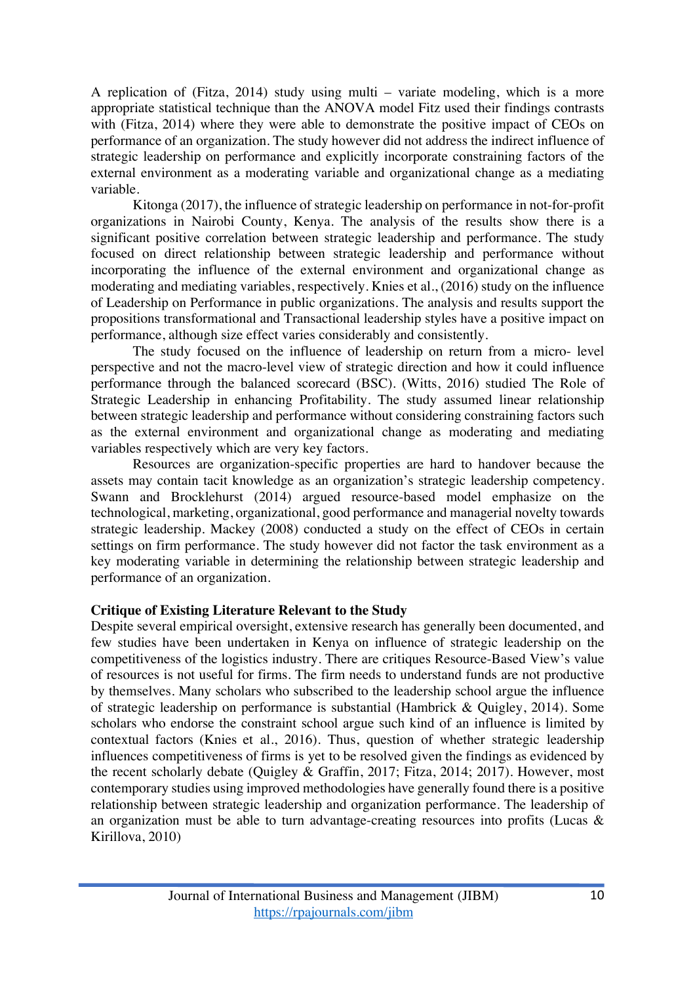A replication of (Fitza, 2014) study using multi – variate modeling, which is a more appropriate statistical technique than the ANOVA model Fitz used their findings contrasts with (Fitza, 2014) where they were able to demonstrate the positive impact of CEOs on performance of an organization. The study however did not address the indirect influence of strategic leadership on performance and explicitly incorporate constraining factors of the external environment as a moderating variable and organizational change as a mediating variable.

Kitonga (2017), the influence of strategic leadership on performance in not-for-profit organizations in Nairobi County, Kenya. The analysis of the results show there is a significant positive correlation between strategic leadership and performance. The study focused on direct relationship between strategic leadership and performance without incorporating the influence of the external environment and organizational change as moderating and mediating variables, respectively. Knies et al., (2016) study on the influence of Leadership on Performance in public organizations. The analysis and results support the propositions transformational and Transactional leadership styles have a positive impact on performance, although size effect varies considerably and consistently.

The study focused on the influence of leadership on return from a micro- level perspective and not the macro-level view of strategic direction and how it could influence performance through the balanced scorecard (BSC). (Witts, 2016) studied The Role of Strategic Leadership in enhancing Profitability. The study assumed linear relationship between strategic leadership and performance without considering constraining factors such as the external environment and organizational change as moderating and mediating variables respectively which are very key factors.

Resources are organization-specific properties are hard to handover because the assets may contain tacit knowledge as an organization's strategic leadership competency. Swann and Brocklehurst (2014) argued resource-based model emphasize on the technological, marketing, organizational, good performance and managerial novelty towards strategic leadership. Mackey (2008) conducted a study on the effect of CEOs in certain settings on firm performance. The study however did not factor the task environment as a key moderating variable in determining the relationship between strategic leadership and performance of an organization.

### **Critique of Existing Literature Relevant to the Study**

Despite several empirical oversight, extensive research has generally been documented, and few studies have been undertaken in Kenya on influence of strategic leadership on the competitiveness of the logistics industry. There are critiques Resource-Based View's value of resources is not useful for firms. The firm needs to understand funds are not productive by themselves. Many scholars who subscribed to the leadership school argue the influence of strategic leadership on performance is substantial (Hambrick & Quigley, 2014). Some scholars who endorse the constraint school argue such kind of an influence is limited by contextual factors (Knies et al., 2016). Thus, question of whether strategic leadership influences competitiveness of firms is yet to be resolved given the findings as evidenced by the recent scholarly debate (Quigley & Graffin, 2017; Fitza, 2014; 2017). However, most contemporary studies using improved methodologies have generally found there is a positive relationship between strategic leadership and organization performance. The leadership of an organization must be able to turn advantage-creating resources into profits (Lucas & Kirillova, 2010)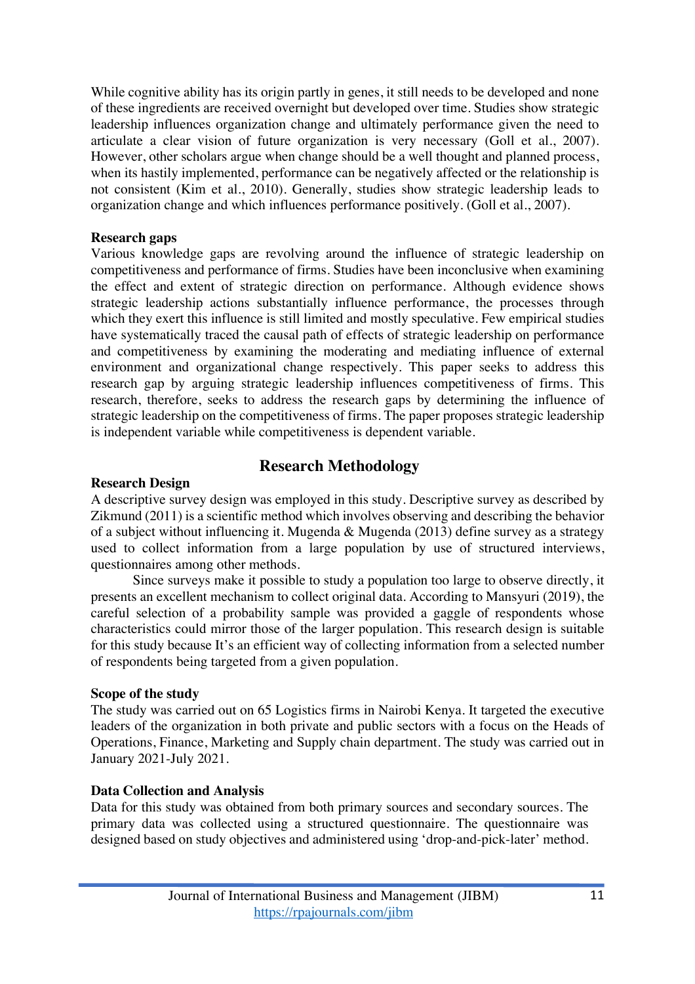While cognitive ability has its origin partly in genes, it still needs to be developed and none of these ingredients are received overnight but developed over time. Studies show strategic leadership influences organization change and ultimately performance given the need to articulate a clear vision of future organization is very necessary (Goll et al., 2007). However, other scholars argue when change should be a well thought and planned process, when its hastily implemented, performance can be negatively affected or the relationship is not consistent (Kim et al., 2010). Generally, studies show strategic leadership leads to organization change and which influences performance positively. (Goll et al., 2007).

#### **Research gaps**

Various knowledge gaps are revolving around the influence of strategic leadership on competitiveness and performance of firms. Studies have been inconclusive when examining the effect and extent of strategic direction on performance. Although evidence shows strategic leadership actions substantially influence performance, the processes through which they exert this influence is still limited and mostly speculative. Few empirical studies have systematically traced the causal path of effects of strategic leadership on performance and competitiveness by examining the moderating and mediating influence of external environment and organizational change respectively. This paper seeks to address this research gap by arguing strategic leadership influences competitiveness of firms. This research, therefore, seeks to address the research gaps by determining the influence of strategic leadership on the competitiveness of firms. The paper proposes strategic leadership is independent variable while competitiveness is dependent variable.

# **Research Methodology**

#### **Research Design**

A descriptive survey design was employed in this study. Descriptive survey as described by Zikmund (2011) is a scientific method which involves observing and describing the behavior of a subject without influencing it. Mugenda & Mugenda (2013) define survey as a strategy used to collect information from a large population by use of structured interviews, questionnaires among other methods.

Since surveys make it possible to study a population too large to observe directly, it presents an excellent mechanism to collect original data. According to Mansyuri (2019), the careful selection of a probability sample was provided a gaggle of respondents whose characteristics could mirror those of the larger population. This research design is suitable for this study because It's an efficient way of collecting information from a selected number of respondents being targeted from a given population.

#### **Scope of the study**

The study was carried out on 65 Logistics firms in Nairobi Kenya. It targeted the executive leaders of the organization in both private and public sectors with a focus on the Heads of Operations, Finance, Marketing and Supply chain department. The study was carried out in January 2021-July 2021.

### **Data Collection and Analysis**

Data for this study was obtained from both primary sources and secondary sources. The primary data was collected using a structured questionnaire. The questionnaire was designed based on study objectives and administered using 'drop-and-pick-later' method.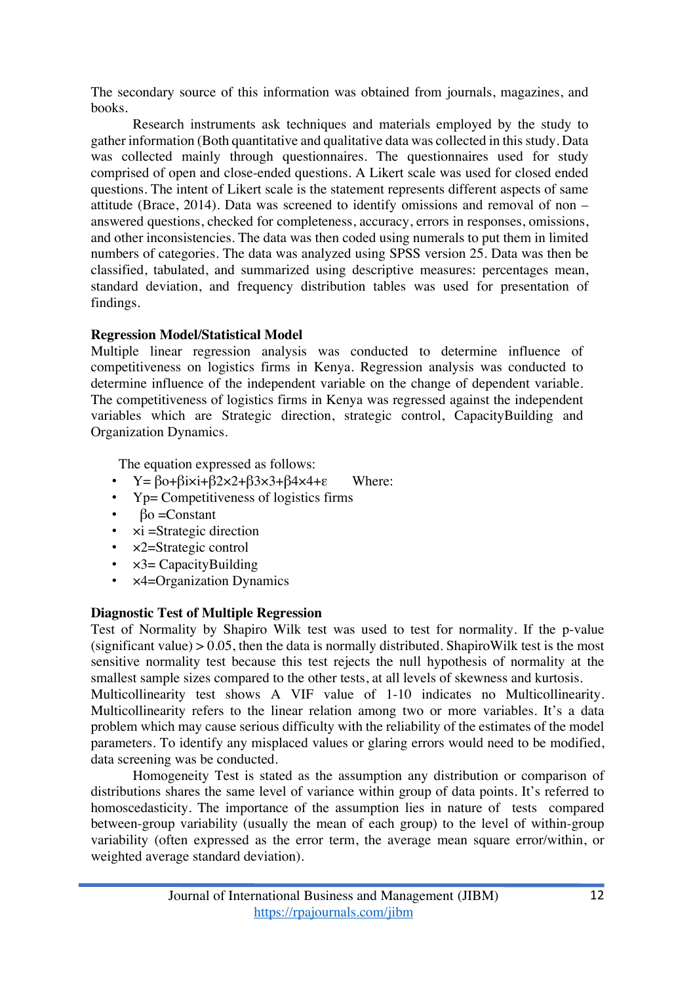The secondary source of this information was obtained from journals, magazines, and books.

Research instruments ask techniques and materials employed by the study to gather information (Both quantitative and qualitative data was collected in this study. Data was collected mainly through questionnaires. The questionnaires used for study comprised of open and close-ended questions. A Likert scale was used for closed ended questions. The intent of Likert scale is the statement represents different aspects of same attitude (Brace, 2014). Data was screened to identify omissions and removal of non – answered questions, checked for completeness, accuracy, errors in responses, omissions, and other inconsistencies. The data was then coded using numerals to put them in limited numbers of categories. The data was analyzed using SPSS version 25. Data was then be classified, tabulated, and summarized using descriptive measures: percentages mean, standard deviation, and frequency distribution tables was used for presentation of findings.

### **Regression Model/Statistical Model**

Multiple linear regression analysis was conducted to determine influence of competitiveness on logistics firms in Kenya. Regression analysis was conducted to determine influence of the independent variable on the change of dependent variable. The competitiveness of logistics firms in Kenya was regressed against the independent variables which are Strategic direction, strategic control, CapacityBuilding and Organization Dynamics.

The equation expressed as follows:

- $Y = \beta o + \beta i \times i + \beta 2 \times 2 + \beta 3 \times 3 + \beta 4 \times 4 + \epsilon$  Where:
- Yp= Competitiveness of logistics firms
- $β$ <sup>o</sup> = Constant
- $xi =$ Strategic direction
- $x2 =$ Strategic control
- $\times$ 3= CapacityBuilding
- ×4=Organization Dynamics

### **Diagnostic Test of Multiple Regression**

Test of Normality by Shapiro Wilk test was used to test for normality. If the p-value (significant value)  $> 0.05$ , then the data is normally distributed. Shapiro Wilk test is the most sensitive normality test because this test rejects the null hypothesis of normality at the smallest sample sizes compared to the other tests, at all levels of skewness and kurtosis. Multicollinearity test shows A VIF value of 1-10 indicates no Multicollinearity. Multicollinearity refers to the linear relation among two or more variables. It's a data

problem which may cause serious difficulty with the reliability of the estimates of the model parameters. To identify any misplaced values or glaring errors would need to be modified, data screening was be conducted.

Homogeneity Test is stated as the assumption any distribution or comparison of distributions shares the same level of variance within group of data points. It's referred to homoscedasticity. The importance of the assumption lies in nature of tests compared between-group variability (usually the mean of each group) to the level of within-group variability (often expressed as the error term, the average mean square error/within, or weighted average standard deviation).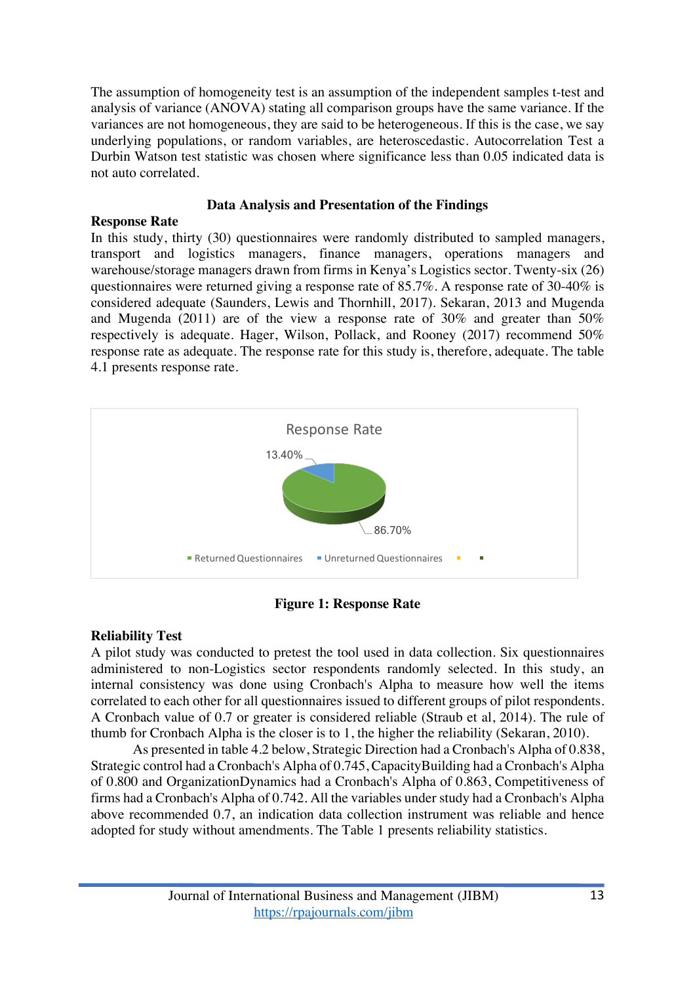The assumption of homogeneity test is an assumption of the independent samples t-test and analysis of variance (ANOVA) stating all comparison groups have the same variance. If the variances are not homogeneous, they are said to be heterogeneous. If this is the case, we say underlying populations, or random variables, are heteroscedastic. Autocorrelation Test a Durbin Watson test statistic was chosen where significance less than 0.05 indicated data is not auto correlated.

### **Data Analysis and Presentation of the Findings**

### **Response Rate**

In this study, thirty (30) questionnaires were randomly distributed to sampled managers, transport and logistics managers, finance managers, operations managers and warehouse/storage managers drawn from firms in Kenya's Logistics sector. Twenty-six (26) questionnaires were returned giving a response rate of 85.7%. A response rate of 30-40% is considered adequate (Saunders, Lewis and Thornhill, 2017). Sekaran, 2013 and Mugenda and Mugenda (2011) are of the view a response rate of 30% and greater than 50% respectively is adequate. Hager, Wilson, Pollack, and Rooney (2017) recommend 50% response rate as adequate. The response rate for this study is, therefore, adequate. The table 4.1 presents response rate.



**Figure 1: Response Rate**

### **Reliability Test**

A pilot study was conducted to pretest the tool used in data collection. Six questionnaires administered to non-Logistics sector respondents randomly selected. In this study, an internal consistency was done using Cronbach's Alpha to measure how well the items correlated to each other for all questionnaires issued to different groups of pilot respondents. A Cronbach value of 0.7 or greater is considered reliable (Straub et al, 2014). The rule of thumb for Cronbach Alpha is the closer is to 1, the higher the reliability (Sekaran, 2010).

As presented in table 4.2 below, Strategic Direction had a Cronbach's Alpha of 0.838, Strategic control had a Cronbach's Alpha of 0.745, CapacityBuilding had a Cronbach's Alpha of 0.800 and OrganizationDynamics had a Cronbach's Alpha of 0.863, Competitiveness of firms had a Cronbach's Alpha of 0.742. All the variables under study had a Cronbach's Alpha above recommended 0.7, an indication data collection instrument was reliable and hence adopted for study without amendments. The Table 1 presents reliability statistics.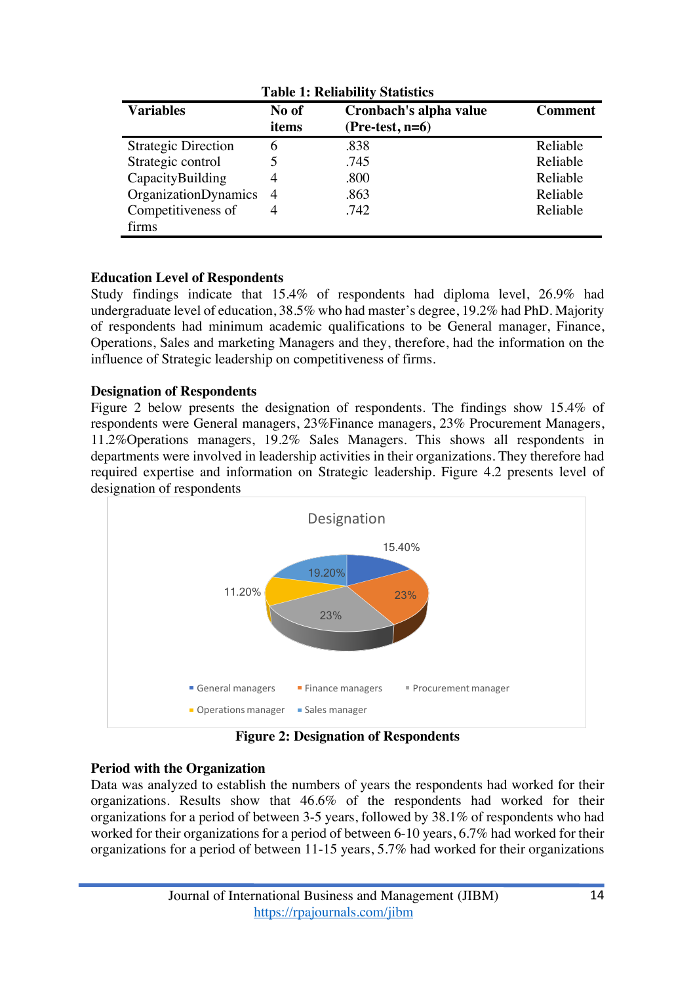| Tubic 1: Rehubility Diumbiles                                                                       |                |      |          |  |  |
|-----------------------------------------------------------------------------------------------------|----------------|------|----------|--|--|
| <b>Variables</b><br>Cronbach's alpha value<br>No of<br><b>Comment</b><br>$(Pre-test, n=6)$<br>items |                |      |          |  |  |
| <b>Strategic Direction</b>                                                                          | 6              | .838 | Reliable |  |  |
| Strategic control                                                                                   |                | .745 | Reliable |  |  |
| CapacityBuilding                                                                                    | 4              | .800 | Reliable |  |  |
| <b>OrganizationDynamics</b>                                                                         | $\overline{4}$ | .863 | Reliable |  |  |
| Competitiveness of                                                                                  |                | .742 | Reliable |  |  |
| firms                                                                                               |                |      |          |  |  |

**Table 1: Reliability Statistics**

### **Education Level of Respondents**

Study findings indicate that 15.4% of respondents had diploma level, 26.9% had undergraduate level of education, 38.5% who had master's degree, 19.2% had PhD. Majority of respondents had minimum academic qualifications to be General manager, Finance, Operations, Sales and marketing Managers and they, therefore, had the information on the influence of Strategic leadership on competitiveness of firms.

### **Designation of Respondents**

Figure 2 below presents the designation of respondents. The findings show 15.4% of respondents were General managers, 23%Finance managers, 23% Procurement Managers, 11.2%Operations managers, 19.2% Sales Managers. This shows all respondents in departments were involved in leadership activities in their organizations. They therefore had required expertise and information on Strategic leadership. Figure 4.2 presents level of designation of respondents



**Figure 2: Designation of Respondents**

### **Period with the Organization**

Data was analyzed to establish the numbers of years the respondents had worked for their organizations. Results show that 46.6% of the respondents had worked for their organizations for a period of between 3-5 years, followed by 38.1% of respondents who had worked for their organizations for a period of between 6-10 years, 6.7% had worked for their organizations for a period of between 11-15 years, 5.7% had worked for their organizations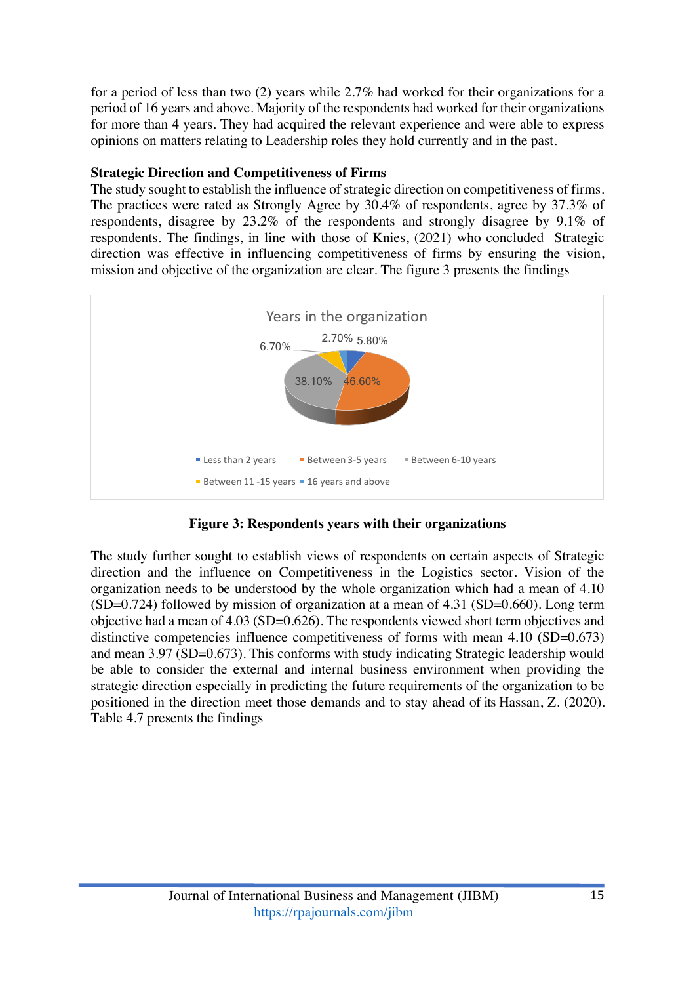for a period of less than two (2) years while 2.7% had worked for their organizations for a period of 16 years and above. Majority of the respondents had worked for their organizations for more than 4 years. They had acquired the relevant experience and were able to express opinions on matters relating to Leadership roles they hold currently and in the past.

### **Strategic Direction and Competitiveness of Firms**

The study sought to establish the influence of strategic direction on competitiveness of firms. The practices were rated as Strongly Agree by 30.4% of respondents, agree by 37.3% of respondents, disagree by 23.2% of the respondents and strongly disagree by 9.1% of respondents. The findings, in line with those of Knies, (2021) who concluded Strategic direction was effective in influencing competitiveness of firms by ensuring the vision, mission and objective of the organization are clear. The figure 3 presents the findings



**Figure 3: Respondents years with their organizations**

The study further sought to establish views of respondents on certain aspects of Strategic direction and the influence on Competitiveness in the Logistics sector. Vision of the organization needs to be understood by the whole organization which had a mean of 4.10 (SD=0.724) followed by mission of organization at a mean of 4.31 (SD=0.660). Long term objective had a mean of 4.03 (SD=0.626). The respondents viewed short term objectives and distinctive competencies influence competitiveness of forms with mean 4.10 (SD=0.673) and mean 3.97 (SD=0.673). This conforms with study indicating Strategic leadership would be able to consider the external and internal business environment when providing the strategic direction especially in predicting the future requirements of the organization to be positioned in the direction meet those demands and to stay ahead of its Hassan, Z. (2020). Table 4.7 presents the findings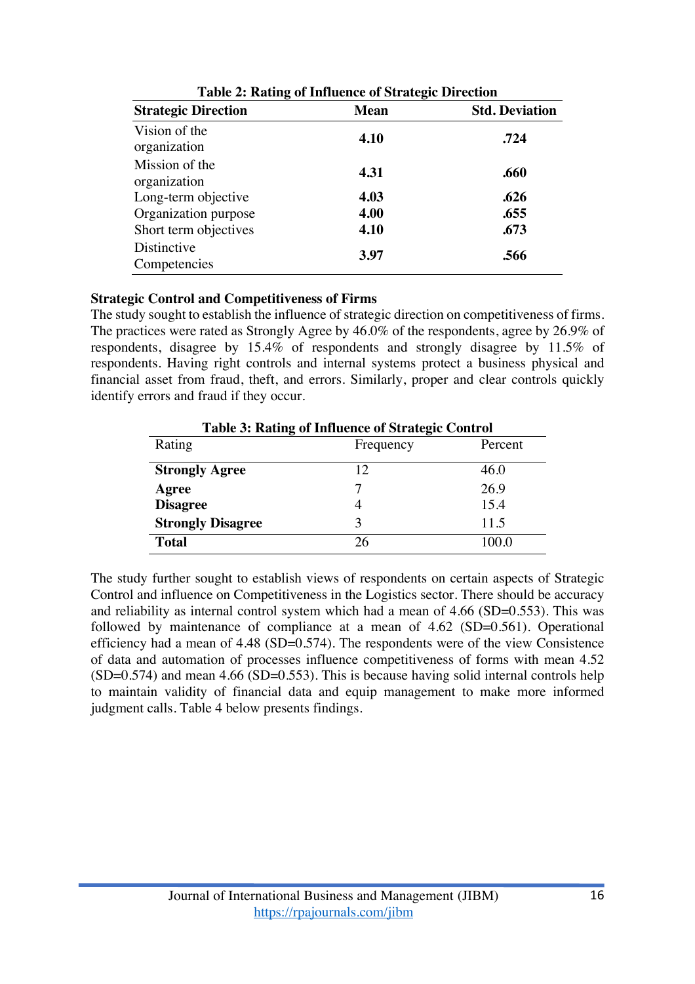| <b>Strategic Direction</b>                  | <b>Mean</b>  | <b>Std. Deviation</b> |
|---------------------------------------------|--------------|-----------------------|
| Vision of the<br>organization               | 4.10         | .724                  |
| Mission of the<br>organization              | 4.31         | .660                  |
| Long-term objective<br>Organization purpose | 4.03<br>4.00 | .626<br>.655          |
| Short term objectives                       | 4.10         | .673                  |
| Distinctive<br>Competencies                 | 3.97         | .566                  |

### **Strategic Control and Competitiveness of Firms**

The study sought to establish the influence of strategic direction on competitiveness of firms. The practices were rated as Strongly Agree by 46.0% of the respondents, agree by 26.9% of respondents, disagree by 15.4% of respondents and strongly disagree by 11.5% of respondents. Having right controls and internal systems protect a business physical and financial asset from fraud, theft, and errors. Similarly, proper and clear controls quickly identify errors and fraud if they occur.

| <b>Table 3: Rating of Influence of Strategic Control</b> |                      |       |  |  |
|----------------------------------------------------------|----------------------|-------|--|--|
| Rating                                                   | Frequency<br>Percent |       |  |  |
| <b>Strongly Agree</b>                                    | 12                   | 46.0  |  |  |
| Agree                                                    |                      | 26.9  |  |  |
| <b>Disagree</b>                                          |                      | 15.4  |  |  |
| <b>Strongly Disagree</b>                                 |                      | 11.5  |  |  |
| <b>Total</b>                                             | 26                   | 100 በ |  |  |

The study further sought to establish views of respondents on certain aspects of Strategic Control and influence on Competitiveness in the Logistics sector. There should be accuracy and reliability as internal control system which had a mean of 4.66 (SD=0.553). This was followed by maintenance of compliance at a mean of 4.62 (SD=0.561). Operational efficiency had a mean of 4.48 (SD=0.574). The respondents were of the view Consistence of data and automation of processes influence competitiveness of forms with mean 4.52  $(SD=0.574)$  and mean 4.66  $(SD=0.553)$ . This is because having solid internal controls help to maintain validity of financial data and equip management to make more informed judgment calls. Table 4 below presents findings.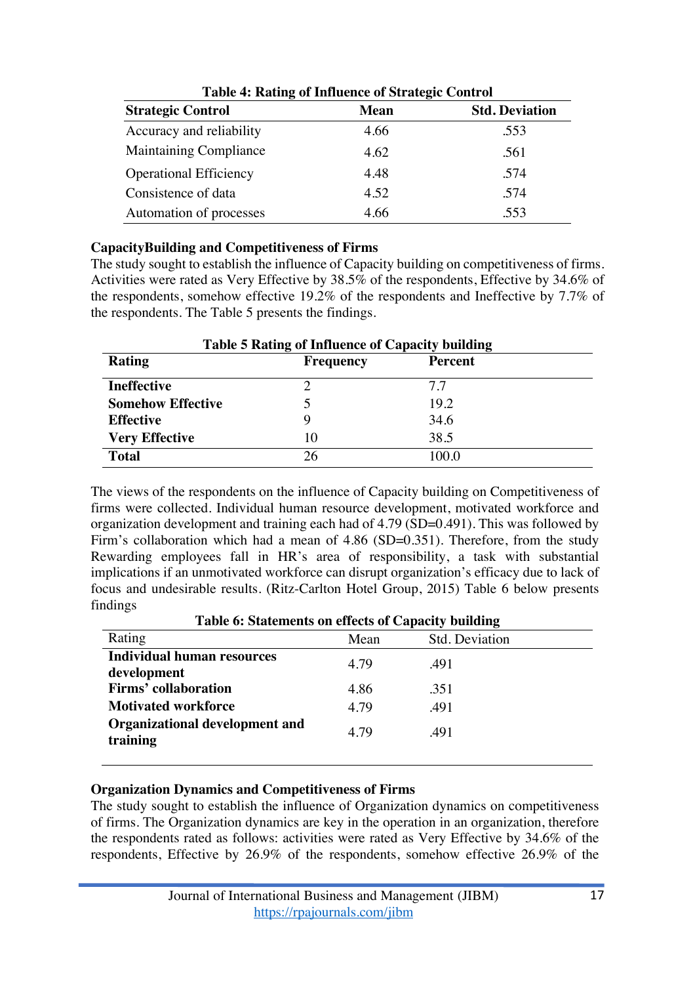| Table 4: Rating of Influence of Strategic Control |             |                       |  |
|---------------------------------------------------|-------------|-----------------------|--|
| <b>Strategic Control</b>                          | <b>Mean</b> | <b>Std. Deviation</b> |  |
| Accuracy and reliability                          | 4.66        | .553                  |  |
| <b>Maintaining Compliance</b>                     | 4.62        | .561                  |  |
| <b>Operational Efficiency</b>                     | 4.48        | .574                  |  |
| Consistence of data                               | 4.52        | .574                  |  |
| Automation of processes                           | 4.66        | .553                  |  |

|  |  | Table 4: Rating of Influence of Strategic Control |  |  |
|--|--|---------------------------------------------------|--|--|
|--|--|---------------------------------------------------|--|--|

#### **CapacityBuilding and Competitiveness of Firms**

The study sought to establish the influence of Capacity building on competitiveness of firms. Activities were rated as Very Effective by 38.5% of the respondents, Effective by 34.6% of the respondents, somehow effective 19.2% of the respondents and Ineffective by 7.7% of the respondents. The Table 5 presents the findings.

| <b>Table 5 Rating of Influence of Capacity building</b> |                  |                |  |
|---------------------------------------------------------|------------------|----------------|--|
| Rating                                                  | <b>Frequency</b> | <b>Percent</b> |  |
| <b>Ineffective</b>                                      |                  | 77             |  |
| <b>Somehow Effective</b>                                |                  | 19.2           |  |
| <b>Effective</b>                                        |                  | 34.6           |  |
| <b>Very Effective</b>                                   | 10               | 38.5           |  |
| <b>Total</b>                                            | 26               | 100 O          |  |

The views of the respondents on the influence of Capacity building on Competitiveness of firms were collected. Individual human resource development, motivated workforce and organization development and training each had of 4.79 (SD=0.491). This was followed by Firm's collaboration which had a mean of 4.86 (SD=0.351). Therefore, from the study Rewarding employees fall in HR's area of responsibility, a task with substantial implications if an unmotivated workforce can disrupt organization's efficacy due to lack of focus and undesirable results. (Ritz-Carlton Hotel Group, 2015) Table 6 below presents findings

**Table 6: Statements on effects of Capacity building**

| Rating                                           | Mean | Std. Deviation |
|--------------------------------------------------|------|----------------|
| <b>Individual human resources</b><br>development | 4.79 | .491           |
| <b>Firms'</b> collaboration                      | 4.86 | .351           |
| <b>Motivated workforce</b>                       | 4.79 | .491           |
| Organizational development and<br>training       | 4.79 | .491           |

### **Organization Dynamics and Competitiveness of Firms**

The study sought to establish the influence of Organization dynamics on competitiveness of firms. The Organization dynamics are key in the operation in an organization, therefore the respondents rated as follows: activities were rated as Very Effective by 34.6% of the respondents, Effective by 26.9% of the respondents, somehow effective 26.9% of the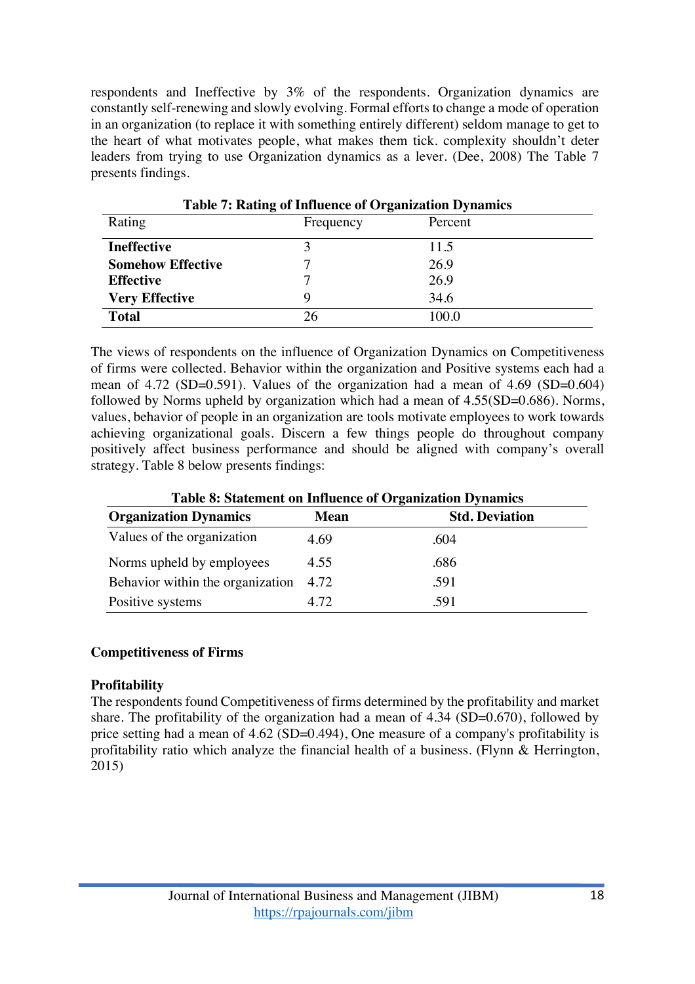respondents and Ineffective by 3% of the respondents. Organization dynamics are constantly self-renewing and slowly evolving. Formal efforts to change a mode of operation in an organization (to replace it with something entirely different) seldom manage to get to the heart of what motivates people, what makes them tick. complexity shouldn't deter leaders from trying to use Organization dynamics as a lever. (Dee, 2008) The Table 7 presents findings.

| <b>Table 7: Rating of Influence of Organization Dynamics</b> |           |         |  |
|--------------------------------------------------------------|-----------|---------|--|
| Rating                                                       | Frequency | Percent |  |
| <b>Ineffective</b>                                           |           | 11.5    |  |
| <b>Somehow Effective</b>                                     |           | 26.9    |  |
| <b>Effective</b>                                             |           | 26.9    |  |
| <b>Very Effective</b>                                        |           | 34.6    |  |
| <b>Total</b>                                                 | 26        | 100 O   |  |

The views of respondents on the influence of Organization Dynamics on Competitiveness of firms were collected. Behavior within the organization and Positive systems each had a mean of 4.72 (SD=0.591). Values of the organization had a mean of 4.69 (SD=0.604) followed by Norms upheld by organization which had a mean of 4.55(SD=0.686). Norms, values, behavior of people in an organization are tools motivate employees to work towards achieving organizational goals. Discern a few things people do throughout company positively affect business performance and should be aligned with company's overall strategy. Table 8 below presents findings:

| <b>Table 8: Statement on Influence of Organization Dynamics</b>      |      |      |  |  |
|----------------------------------------------------------------------|------|------|--|--|
| <b>Organization Dynamics</b><br><b>Std. Deviation</b><br><b>Mean</b> |      |      |  |  |
| Values of the organization                                           | 4.69 | .604 |  |  |
| Norms upheld by employees                                            | 4.55 | .686 |  |  |
| Behavior within the organization                                     | 4.72 | .591 |  |  |
| Positive systems                                                     | 4.72 | .591 |  |  |

### **Competitiveness of Firms**

### **Profitability**

The respondents found Competitiveness of firms determined by the profitability and market share. The profitability of the organization had a mean of 4.34 (SD=0.670), followed by price setting had a mean of 4.62 (SD=0.494), One measure of a company's profitability is profitability ratio which analyze the financial health of a business. (Flynn & Herrington, 2015)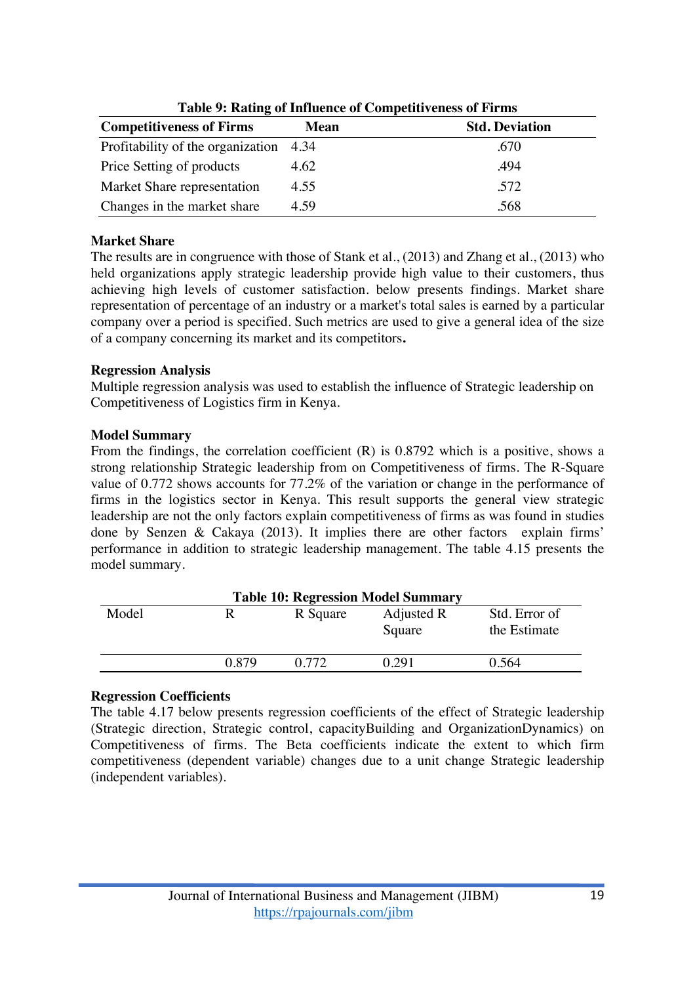| <b>Competitiveness of Firms</b>        | <b>Mean</b> | <b>Std. Deviation</b> |
|----------------------------------------|-------------|-----------------------|
| Profitability of the organization 4.34 |             | .670                  |
| Price Setting of products              | 4.62        | .494                  |
| Market Share representation            | 4.55        | .572                  |
| Changes in the market share            | 4.59        | .568                  |

**Table 9: Rating of Influence of Competitiveness of Firms**

### **Market Share**

The results are in congruence with those of Stank et al., (2013) and Zhang et al., (2013) who held organizations apply strategic leadership provide high value to their customers, thus achieving high levels of customer satisfaction. below presents findings. Market share representation of percentage of an industry or a market's total sales is earned by a particular company over a period is specified. Such metrics are used to give a general idea of the size of a company concerning its market and its competitors**.**

### **Regression Analysis**

Multiple regression analysis was used to establish the influence of Strategic leadership on Competitiveness of Logistics firm in Kenya.

## **Model Summary**

From the findings, the correlation coefficient (R) is 0.8792 which is a positive, shows a strong relationship Strategic leadership from on Competitiveness of firms. The R-Square value of 0.772 shows accounts for 77.2% of the variation or change in the performance of firms in the logistics sector in Kenya. This result supports the general view strategic leadership are not the only factors explain competitiveness of firms as was found in studies done by Senzen & Cakaya (2013). It implies there are other factors explain firms' performance in addition to strategic leadership management. The table 4.15 presents the model summary.

| <b>Table 10: Regression Model Summary</b> |       |          |                      |                               |
|-------------------------------------------|-------|----------|----------------------|-------------------------------|
| Model                                     | R     | R Square | Adjusted R<br>Square | Std. Error of<br>the Estimate |
|                                           | 0.879 | 0.772    | 0.291                | 0.564                         |

### **Regression Coefficients**

The table 4.17 below presents regression coefficients of the effect of Strategic leadership (Strategic direction, Strategic control, capacityBuilding and OrganizationDynamics) on Competitiveness of firms. The Beta coefficients indicate the extent to which firm competitiveness (dependent variable) changes due to a unit change Strategic leadership (independent variables).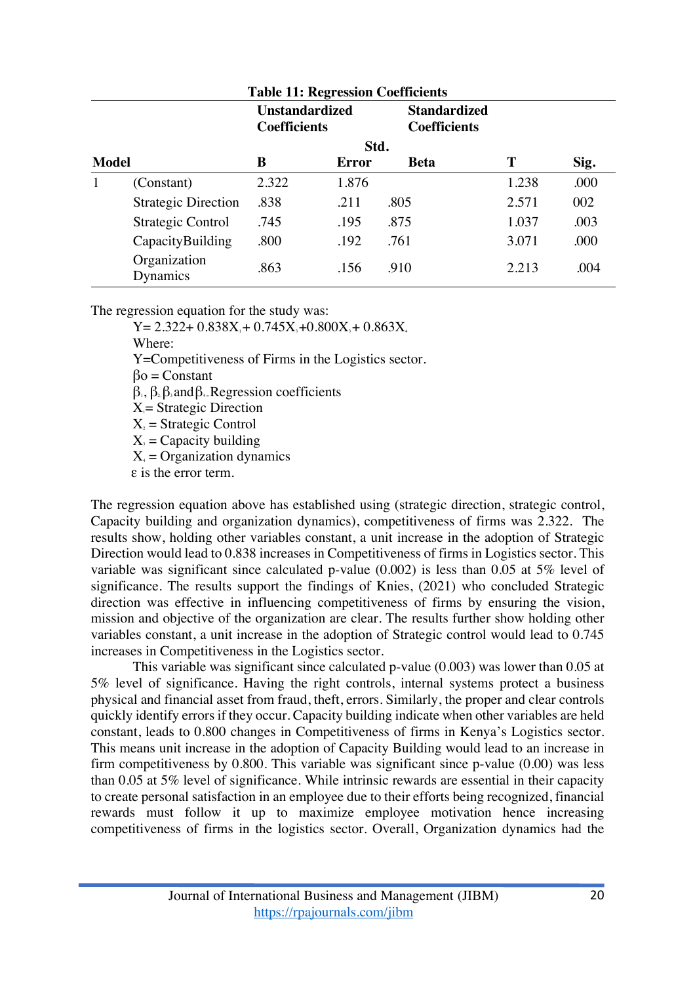| <b>Table 11: Regression Coefficients</b> |                                              |       |       |                                            |       |      |
|------------------------------------------|----------------------------------------------|-------|-------|--------------------------------------------|-------|------|
|                                          | <b>Unstandardized</b><br><b>Coefficients</b> |       |       | <b>Standardized</b><br><b>Coefficients</b> |       |      |
|                                          | Std.                                         |       |       |                                            |       |      |
| <b>Model</b>                             |                                              | B     | Error | Beta                                       | T     | Sig. |
| 1                                        | (Constant)                                   | 2.322 | 1.876 |                                            | 1.238 | .000 |
|                                          | <b>Strategic Direction</b>                   | .838  | .211  | .805                                       | 2.571 | 002  |
|                                          | Strategic Control                            | .745  | .195  | .875                                       | 1.037 | .003 |
|                                          | CapacityBuilding                             | .800  | .192  | .761                                       | 3.071 | .000 |
|                                          | Organization<br>Dynamics                     | .863  | .156  | .910                                       | 2.213 | .004 |

The regression equation for the study was:

 $Y= 2.322+ 0.838X_0 + 0.745X_3 + 0.800X_3 + 0.863X_4$ 

Where:

Y=Competitiveness of Firms in the Logistics sector.

 $βo = Constant$ 

 $\beta_1$ ,  $\beta_2$ ,  $\beta_3$  and  $\beta_4$ . Regression coefficients

 $X_i$ = Strategic Direction

 $X_2$  = Strategic Control

 $X<sub>s</sub> =$  Capacity building

 $X_4$  = Organization dynamics

ε is the error term.

The regression equation above has established using (strategic direction, strategic control, Capacity building and organization dynamics), competitiveness of firms was 2.322. The results show, holding other variables constant, a unit increase in the adoption of Strategic Direction would lead to 0.838 increases in Competitiveness of firms in Logistics sector. This variable was significant since calculated p-value (0.002) is less than 0.05 at 5% level of significance. The results support the findings of Knies, (2021) who concluded Strategic direction was effective in influencing competitiveness of firms by ensuring the vision, mission and objective of the organization are clear. The results further show holding other variables constant, a unit increase in the adoption of Strategic control would lead to 0.745 increases in Competitiveness in the Logistics sector.

This variable was significant since calculated p-value (0.003) was lower than 0.05 at 5% level of significance. Having the right controls, internal systems protect a business physical and financial asset from fraud, theft, errors. Similarly, the proper and clear controls quickly identify errors if they occur. Capacity building indicate when other variables are held constant, leads to 0.800 changes in Competitiveness of firms in Kenya's Logistics sector. This means unit increase in the adoption of Capacity Building would lead to an increase in firm competitiveness by 0.800. This variable was significant since p-value (0.00) was less than 0.05 at 5% level of significance. While intrinsic rewards are essential in their capacity to create personal satisfaction in an employee due to their efforts being recognized, financial rewards must follow it up to maximize employee motivation hence increasing competitiveness of firms in the logistics sector. Overall, Organization dynamics had the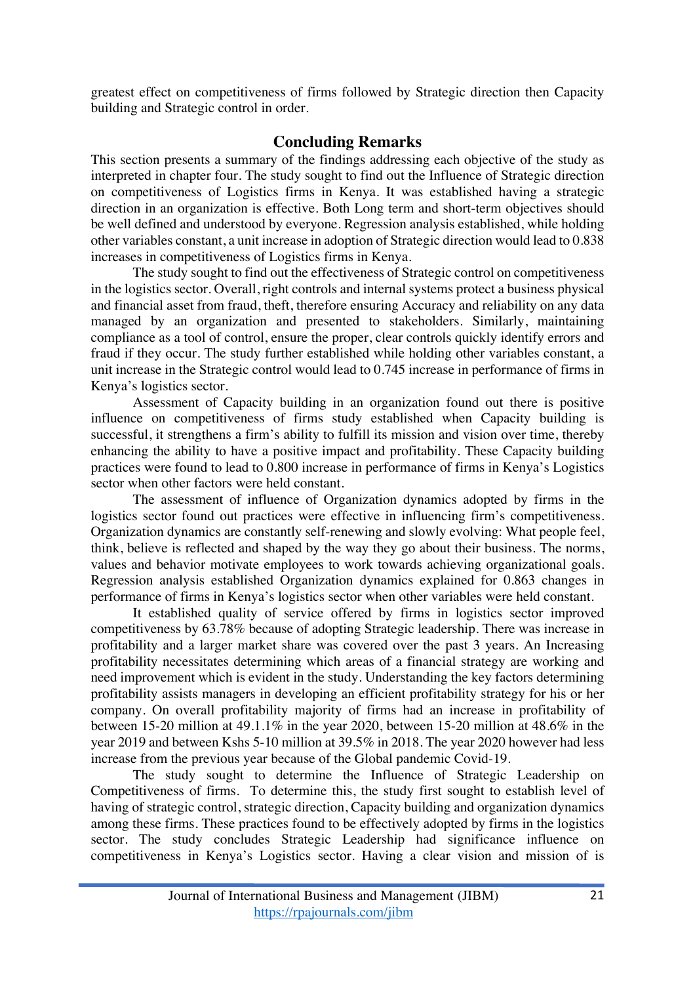greatest effect on competitiveness of firms followed by Strategic direction then Capacity building and Strategic control in order.

# **Concluding Remarks**

This section presents a summary of the findings addressing each objective of the study as interpreted in chapter four. The study sought to find out the Influence of Strategic direction on competitiveness of Logistics firms in Kenya. It was established having a strategic direction in an organization is effective. Both Long term and short-term objectives should be well defined and understood by everyone. Regression analysis established, while holding other variables constant, a unit increase in adoption of Strategic direction would lead to 0.838 increases in competitiveness of Logistics firms in Kenya.

The study sought to find out the effectiveness of Strategic control on competitiveness in the logistics sector. Overall, right controls and internal systems protect a business physical and financial asset from fraud, theft, therefore ensuring Accuracy and reliability on any data managed by an organization and presented to stakeholders. Similarly, maintaining compliance as a tool of control, ensure the proper, clear controls quickly identify errors and fraud if they occur. The study further established while holding other variables constant, a unit increase in the Strategic control would lead to 0.745 increase in performance of firms in Kenya's logistics sector.

Assessment of Capacity building in an organization found out there is positive influence on competitiveness of firms study established when Capacity building is successful, it strengthens a firm's ability to fulfill its mission and vision over time, thereby enhancing the ability to have a positive impact and profitability. These Capacity building practices were found to lead to 0.800 increase in performance of firms in Kenya's Logistics sector when other factors were held constant.

The assessment of influence of Organization dynamics adopted by firms in the logistics sector found out practices were effective in influencing firm's competitiveness. Organization dynamics are constantly self-renewing and slowly evolving: What people feel, think, believe is reflected and shaped by the way they go about their business. The norms, values and behavior motivate employees to work towards achieving organizational goals. Regression analysis established Organization dynamics explained for 0.863 changes in performance of firms in Kenya's logistics sector when other variables were held constant.

It established quality of service offered by firms in logistics sector improved competitiveness by 63.78% because of adopting Strategic leadership. There was increase in profitability and a larger market share was covered over the past 3 years. An Increasing profitability necessitates determining which areas of a financial strategy are working and need improvement which is evident in the study. Understanding the key factors determining profitability assists managers in developing an efficient profitability strategy for his or her company. On overall profitability majority of firms had an increase in profitability of between 15-20 million at 49.1.1% in the year 2020, between 15-20 million at 48.6% in the year 2019 and between Kshs 5-10 million at 39.5% in 2018. The year 2020 however had less increase from the previous year because of the Global pandemic Covid-19.

The study sought to determine the Influence of Strategic Leadership on Competitiveness of firms. To determine this, the study first sought to establish level of having of strategic control, strategic direction, Capacity building and organization dynamics among these firms. These practices found to be effectively adopted by firms in the logistics sector. The study concludes Strategic Leadership had significance influence on competitiveness in Kenya's Logistics sector. Having a clear vision and mission of is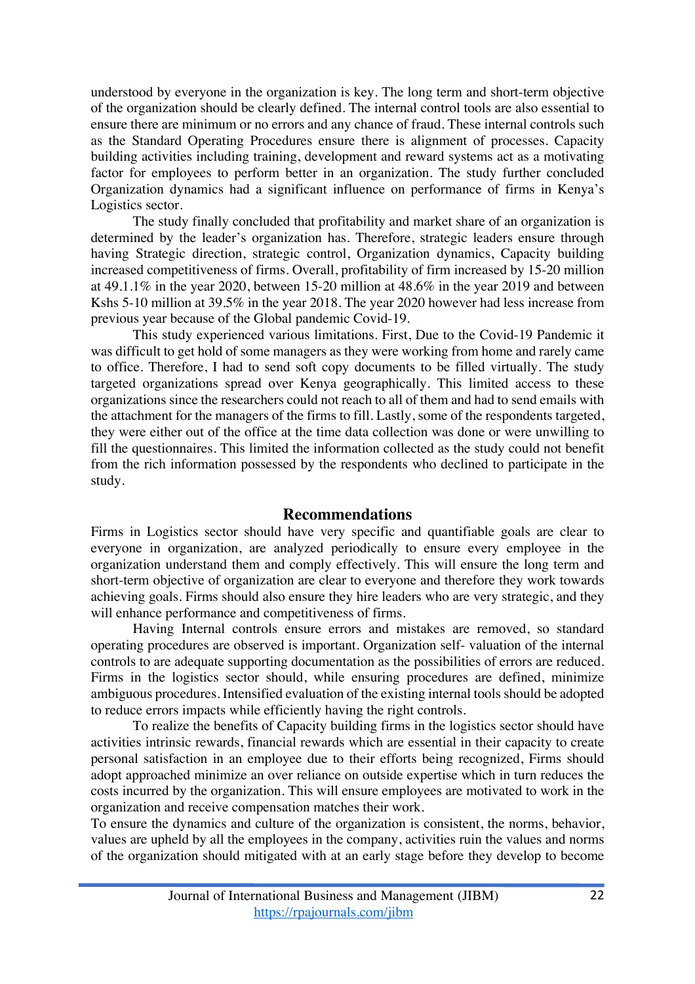understood by everyone in the organization is key. The long term and short-term objective of the organization should be clearly defined. The internal control tools are also essential to ensure there are minimum or no errors and any chance of fraud. These internal controls such as the Standard Operating Procedures ensure there is alignment of processes. Capacity building activities including training, development and reward systems act as a motivating factor for employees to perform better in an organization. The study further concluded Organization dynamics had a significant influence on performance of firms in Kenya's Logistics sector.

The study finally concluded that profitability and market share of an organization is determined by the leader's organization has. Therefore, strategic leaders ensure through having Strategic direction, strategic control, Organization dynamics, Capacity building increased competitiveness of firms. Overall, profitability of firm increased by 15-20 million at 49.1.1% in the year 2020, between 15-20 million at 48.6% in the year 2019 and between Kshs 5-10 million at 39.5% in the year 2018. The year 2020 however had less increase from previous year because of the Global pandemic Covid-19.

This study experienced various limitations. First, Due to the Covid-19 Pandemic it was difficult to get hold of some managers as they were working from home and rarely came to office. Therefore, I had to send soft copy documents to be filled virtually. The study targeted organizations spread over Kenya geographically. This limited access to these organizations since the researchers could not reach to all of them and had to send emails with the attachment for the managers of the firms to fill. Lastly, some of the respondents targeted, they were either out of the office at the time data collection was done or were unwilling to fill the questionnaires. This limited the information collected as the study could not benefit from the rich information possessed by the respondents who declined to participate in the study.

#### **Recommendations**

Firms in Logistics sector should have very specific and quantifiable goals are clear to everyone in organization, are analyzed periodically to ensure every employee in the organization understand them and comply effectively. This will ensure the long term and short-term objective of organization are clear to everyone and therefore they work towards achieving goals. Firms should also ensure they hire leaders who are very strategic, and they will enhance performance and competitiveness of firms.

Having Internal controls ensure errors and mistakes are removed, so standard operating procedures are observed is important. Organization self- valuation of the internal controls to are adequate supporting documentation as the possibilities of errors are reduced. Firms in the logistics sector should, while ensuring procedures are defined, minimize ambiguous procedures. Intensified evaluation of the existing internal tools should be adopted to reduce errors impacts while efficiently having the right controls.

To realize the benefits of Capacity building firms in the logistics sector should have activities intrinsic rewards, financial rewards which are essential in their capacity to create personal satisfaction in an employee due to their efforts being recognized, Firms should adopt approached minimize an over reliance on outside expertise which in turn reduces the costs incurred by the organization. This will ensure employees are motivated to work in the organization and receive compensation matches their work.

To ensure the dynamics and culture of the organization is consistent, the norms, behavior, values are upheld by all the employees in the company, activities ruin the values and norms of the organization should mitigated with at an early stage before they develop to become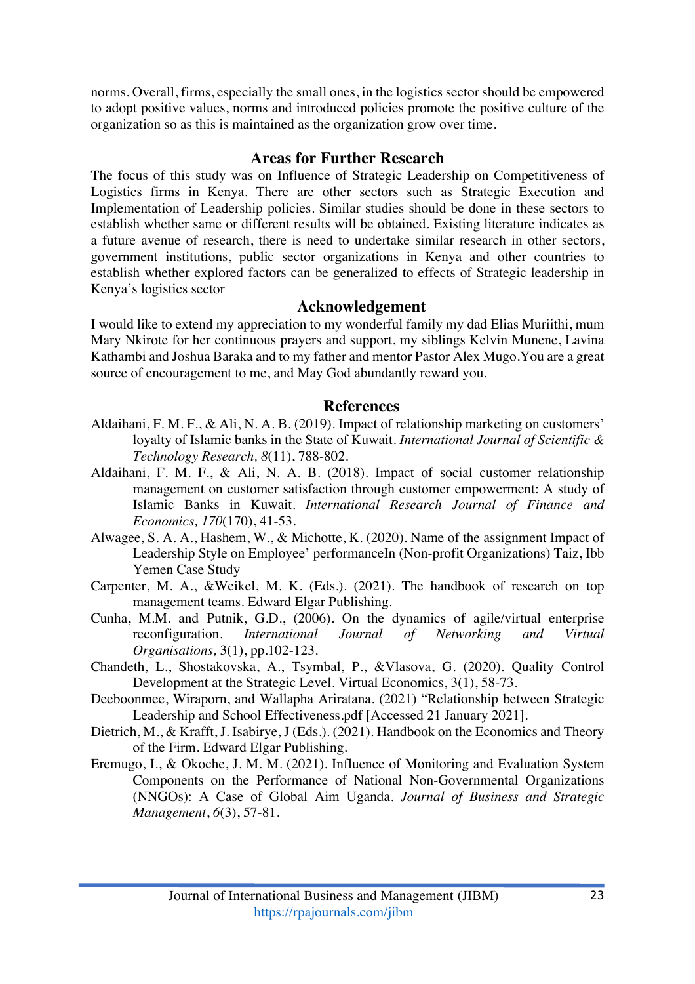norms. Overall, firms, especially the small ones, in the logistics sector should be empowered to adopt positive values, norms and introduced policies promote the positive culture of the organization so as this is maintained as the organization grow over time.

## **Areas for Further Research**

The focus of this study was on Influence of Strategic Leadership on Competitiveness of Logistics firms in Kenya. There are other sectors such as Strategic Execution and Implementation of Leadership policies. Similar studies should be done in these sectors to establish whether same or different results will be obtained. Existing literature indicates as a future avenue of research, there is need to undertake similar research in other sectors, government institutions, public sector organizations in Kenya and other countries to establish whether explored factors can be generalized to effects of Strategic leadership in Kenya's logistics sector

### **Acknowledgement**

I would like to extend my appreciation to my wonderful family my dad Elias Muriithi, mum Mary Nkirote for her continuous prayers and support, my siblings Kelvin Munene, Lavina Kathambi and Joshua Baraka and to my father and mentor Pastor Alex Mugo.You are a great source of encouragement to me, and May God abundantly reward you.

### **References**

- Aldaihani, F. M. F., & Ali, N. A. B. (2019). Impact of relationship marketing on customers' loyalty of Islamic banks in the State of Kuwait. *International Journal of Scientific & Technology Research, 8*(11), 788-802.
- Aldaihani, F. M. F., & Ali, N. A. B. (2018). Impact of social customer relationship management on customer satisfaction through customer empowerment: A study of Islamic Banks in Kuwait. *International Research Journal of Finance and Economics, 170*(170), 41-53.
- Alwagee, S. A. A., Hashem, W., & Michotte, K. (2020). Name of the assignment Impact of Leadership Style on Employee' performanceIn (Non-profit Organizations) Taiz, Ibb Yemen Case Study
- Carpenter, M. A., &Weikel, M. K. (Eds.). (2021). The handbook of research on top management teams. Edward Elgar Publishing.
- Cunha, M.M. and Putnik, G.D., (2006). On the dynamics of agile/virtual enterprise reconfiguration. *International Journal of Networking and Virtual Organisations,* 3(1), pp.102-123.
- Chandeth, L., Shostakovska, A., Tsymbal, P., &Vlasova, G. (2020). Quality Control Development at the Strategic Level. Virtual Economics, 3(1), 58-73.
- Deeboonmee, Wiraporn, and Wallapha Ariratana. (2021) "Relationship between Strategic Leadership and School Effectiveness.pdf [Accessed 21 January 2021].
- Dietrich, M., & Krafft, J. Isabirye, J (Eds.). (2021). Handbook on the Economics and Theory of the Firm. Edward Elgar Publishing.
- Eremugo, I., & Okoche, J. M. M. (2021). Influence of Monitoring and Evaluation System Components on the Performance of National Non-Governmental Organizations (NNGOs): A Case of Global Aim Uganda. *Journal of Business and Strategic Management*, *6*(3), 57-81.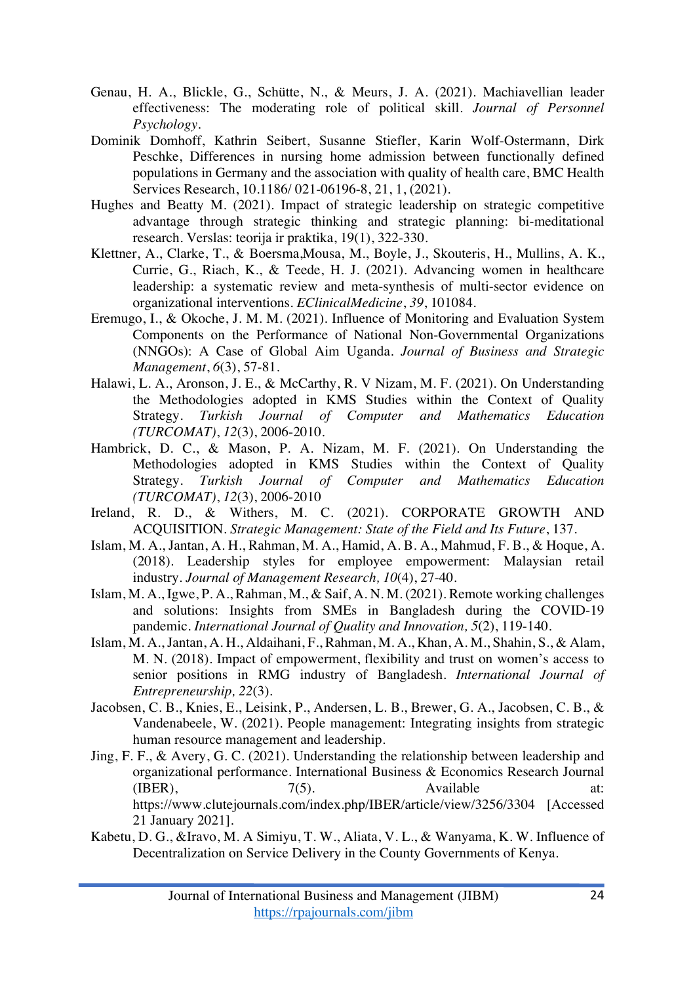- Genau, H. A., Blickle, G., Schütte, N., & Meurs, J. A. (2021). Machiavellian leader effectiveness: The moderating role of political skill. *Journal of Personnel Psychology*.
- Dominik Domhoff, Kathrin Seibert, Susanne Stiefler, Karin Wolf-Ostermann, Dirk Peschke, Differences in nursing home admission between functionally defined populations in Germany and the association with quality of health care, BMC Health Services Research, 10.1186/ 021-06196-8, 21, 1, (2021).
- Hughes and Beatty M. (2021). Impact of strategic leadership on strategic competitive advantage through strategic thinking and strategic planning: bi-meditational research. Verslas: teorija ir praktika, 19(1), 322-330.
- Klettner, A., Clarke, T., & Boersma,Mousa, M., Boyle, J., Skouteris, H., Mullins, A. K., Currie, G., Riach, K., & Teede, H. J. (2021). Advancing women in healthcare leadership: a systematic review and meta-synthesis of multi-sector evidence on organizational interventions. *EClinicalMedicine*, *39*, 101084.
- Eremugo, I., & Okoche, J. M. M. (2021). Influence of Monitoring and Evaluation System Components on the Performance of National Non-Governmental Organizations (NNGOs): A Case of Global Aim Uganda. *Journal of Business and Strategic Management*, *6*(3), 57-81.
- Halawi, L. A., Aronson, J. E., & McCarthy, R. V Nizam, M. F. (2021). On Understanding the Methodologies adopted in KMS Studies within the Context of Quality Strategy. *Turkish Journal of Computer and Mathematics Education (TURCOMAT)*, *12*(3), 2006-2010.
- Hambrick, D. C., & Mason, P. A. Nizam, M. F. (2021). On Understanding the Methodologies adopted in KMS Studies within the Context of Quality Strategy. *Turkish Journal of Computer and Mathematics Education (TURCOMAT)*, *12*(3), 2006-2010
- Ireland, R. D., & Withers, M. C. (2021). CORPORATE GROWTH AND ACQUISITION. *Strategic Management: State of the Field and Its Future*, 137.
- Islam, M. A., Jantan, A. H., Rahman, M. A., Hamid, A. B. A., Mahmud, F. B., & Hoque, A. (2018). Leadership styles for employee empowerment: Malaysian retail industry. *Journal of Management Research, 10*(4), 27-40.
- Islam, M. A., Igwe, P. A., Rahman, M., & Saif, A. N. M. (2021). Remote working challenges and solutions: Insights from SMEs in Bangladesh during the COVID-19 pandemic. *International Journal of Quality and Innovation, 5*(2), 119-140.
- Islam, M. A., Jantan, A. H., Aldaihani, F., Rahman, M. A., Khan, A. M., Shahin, S., & Alam, M. N. (2018). Impact of empowerment, flexibility and trust on women's access to senior positions in RMG industry of Bangladesh. *International Journal of Entrepreneurship, 22*(3).
- Jacobsen, C. B., Knies, E., Leisink, P., Andersen, L. B., Brewer, G. A., Jacobsen, C. B., & Vandenabeele, W. (2021). People management: Integrating insights from strategic human resource management and leadership.
- Jing, F. F., & Avery, G. C. (2021). Understanding the relationship between leadership and organizational performance. International Business & Economics Research Journal (IBER),  $7(5)$ . Available at: https://www.clutejournals.com/index.php/IBER/article/view/3256/3304 [Accessed 21 January 2021].
- Kabetu, D. G., &Iravo, M. A Simiyu, T. W., Aliata, V. L., & Wanyama, K. W. Influence of Decentralization on Service Delivery in the County Governments of Kenya.